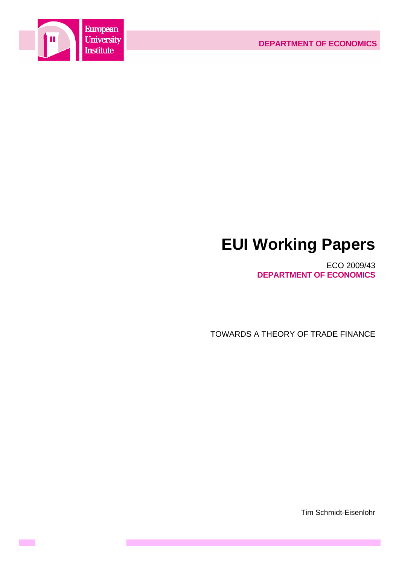

**Contract** 

# **EUI Working Papers**

ECO 2009/43 **DEPARTMENT OF ECONOMICS**

TOWARDS A THEORY OF TRADE FINANCE

Tim Schmidt-Eisenlohr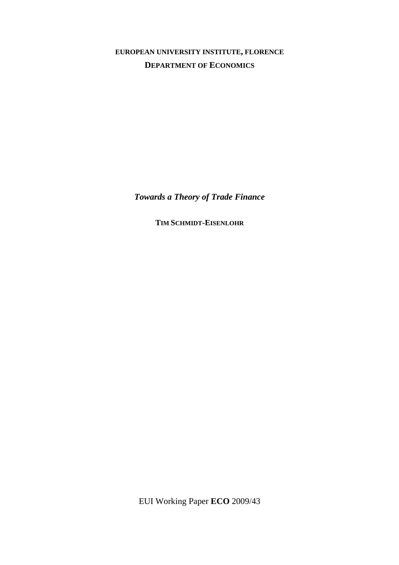# **EUROPEAN UNIVERSITY INSTITUTE, FLORENCE DEPARTMENT OF ECONOMICS**

*Towards a Theory of Trade Finance* 

**TIM SCHMIDT-EISENLOHR**

EUI Working Paper **ECO** 2009/43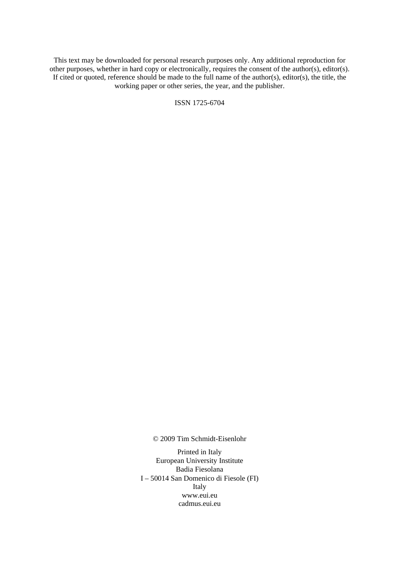This text may be downloaded for personal research purposes only. Any additional reproduction for other purposes, whether in hard copy or electronically, requires the consent of the author(s), editor(s). If cited or quoted, reference should be made to the full name of the author(s), editor(s), the title, the working paper or other series, the year, and the publisher.

ISSN 1725-6704

© 2009 Tim Schmidt-Eisenlohr

Printed in Italy European University Institute Badia Fiesolana I – 50014 San Domenico di Fiesole (FI) Italy [www.eui.eu](http://www.eui.eu/)  [cadmus.eui.eu](http://www.eui.eu/)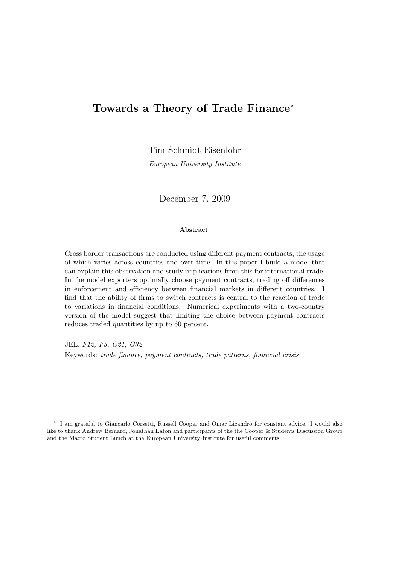## **Towards a Theory of Trade Finance**<sup>∗</sup>

Tim Schmidt-Eisenlohr

European University Institute

December 7, 2009

#### **Abstract**

Cross border transactions are conducted using different payment contracts, the usage of which varies across countries and over time. In this paper I build a model that can explain this observation and study implications from this for international trade. In the model exporters optimally choose payment contracts, trading off differences in enforcement and efficiency between financial markets in different countries. I find that the ability of firms to switch contracts is central to the reaction of trade to variations in financial conditions. Numerical experiments with a two-country version of the model suggest that limiting the choice between payment contracts reduces traded quantities by up to 60 percent.

JEL: F12, F3, G21, G32 Keywords: trade finance, payment contracts, trade patterns, financial crisis

<sup>∗</sup> I am grateful to Giancarlo Corsetti, Russell Cooper and Omar Licandro for constant advice. I would also like to thank Andrew Bernard, Jonathan Eaton and participants of the the Cooper & Students Discussion Group and the Macro Student Lunch at the European University Institute for useful comments.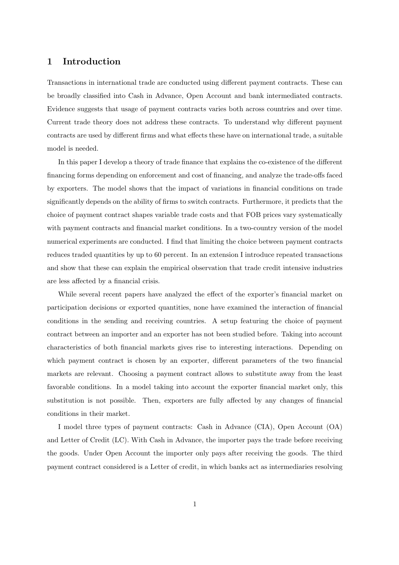## **1 Introduction**

Transactions in international trade are conducted using different payment contracts. These can be broadly classified into Cash in Advance, Open Account and bank intermediated contracts. Evidence suggests that usage of payment contracts varies both across countries and over time. Current trade theory does not address these contracts. To understand why different payment contracts are used by different firms and what effects these have on international trade, a suitable model is needed.

In this paper I develop a theory of trade finance that explains the co-existence of the different financing forms depending on enforcement and cost of financing, and analyze the trade-offs faced by exporters. The model shows that the impact of variations in financial conditions on trade significantly depends on the ability of firms to switch contracts. Furthermore, it predicts that the choice of payment contract shapes variable trade costs and that FOB prices vary systematically with payment contracts and financial market conditions. In a two-country version of the model numerical experiments are conducted. I find that limiting the choice between payment contracts reduces traded quantities by up to 60 percent. In an extension I introduce repeated transactions and show that these can explain the empirical observation that trade credit intensive industries are less affected by a financial crisis.

While several recent papers have analyzed the effect of the exporter's financial market on participation decisions or exported quantities, none have examined the interaction of financial conditions in the sending and receiving countries. A setup featuring the choice of payment contract between an importer and an exporter has not been studied before. Taking into account characteristics of both financial markets gives rise to interesting interactions. Depending on which payment contract is chosen by an exporter, different parameters of the two financial markets are relevant. Choosing a payment contract allows to substitute away from the least favorable conditions. In a model taking into account the exporter financial market only, this substitution is not possible. Then, exporters are fully affected by any changes of financial conditions in their market.

I model three types of payment contracts: Cash in Advance (CIA), Open Account (OA) and Letter of Credit (LC). With Cash in Advance, the importer pays the trade before receiving the goods. Under Open Account the importer only pays after receiving the goods. The third payment contract considered is a Letter of credit, in which banks act as intermediaries resolving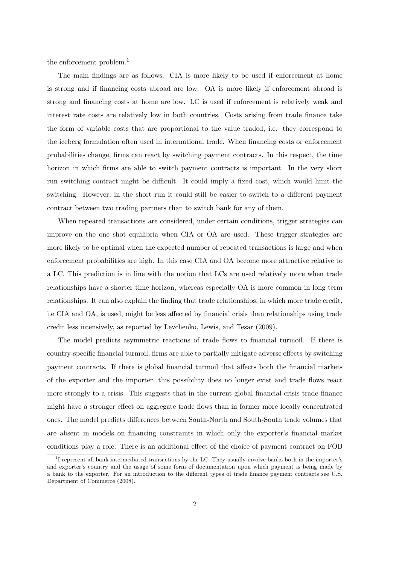the enforcement problem.<sup>1</sup>

The main findings are as follows. CIA is more likely to be used if enforcement at home is strong and if financing costs abroad are low. OA is more likely if enforcement abroad is strong and financing costs at home are low. LC is used if enforcement is relatively weak and interest rate costs are relatively low in both countries. Costs arising from trade finance take the form of variable costs that are proportional to the value traded, i.e. they correspond to the iceberg formulation often used in international trade. When financing costs or enforcement probabilities change, firms can react by switching payment contracts. In this respect, the time horizon in which firms are able to switch payment contracts is important. In the very short run switching contract might be difficult. It could imply a fixed cost, which would limit the switching. However, in the short run it could still be easier to switch to a different payment contract between two trading partners than to switch bank for any of them.

When repeated transactions are considered, under certain conditions, trigger strategies can improve on the one shot equilibria when CIA or OA are used. These trigger strategies are more likely to be optimal when the expected number of repeated transactions is large and when enforcement probabilities are high. In this case CIA and OA become more attractive relative to a LC. This prediction is in line with the notion that LCs are used relatively more when trade relationships have a shorter time horizon, whereas especially OA is more common in long term relationships. It can also explain the finding that trade relationships, in which more trade credit, i.e CIA and OA, is used, might be less affected by financial crisis than relationships using trade credit less intensively, as reported by Levchenko, Lewis, and Tesar (2009).

The model predicts asymmetric reactions of trade flows to financial turmoil. If there is country-specific financial turmoil, firms are able to partially mitigate adverse effects by switching payment contracts. If there is global financial turmoil that affects both the financial markets of the exporter and the importer, this possibility does no longer exist and trade flows react more strongly to a crisis. This suggests that in the current global financial crisis trade finance might have a stronger effect on aggregate trade flows than in former more locally concentrated ones. The model predicts differences between South-North and South-South trade volumes that are absent in models on financing constraints in which only the exporter's financial market conditions play a role. There is an additional effect of the choice of payment contract on FOB

 $1<sup>1</sup>$  represent all bank intermediated transactions by the LC. They usually involve banks both in the importer's and exporter's country and the usage of some form of documentation upon which payment is being made by a bank to the exporter. For an introduction to the different types of trade finance payment contracts see U.S. Department of Commerce (2008).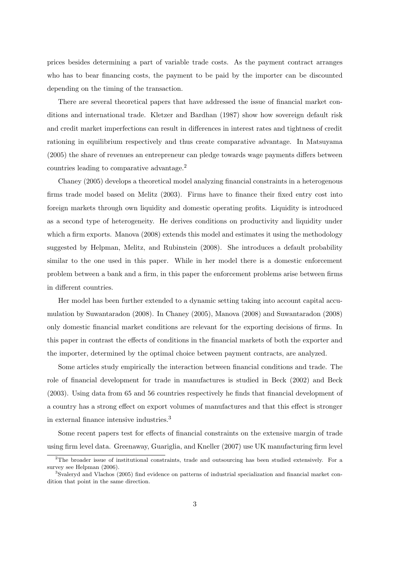prices besides determining a part of variable trade costs. As the payment contract arranges who has to bear financing costs, the payment to be paid by the importer can be discounted depending on the timing of the transaction.

There are several theoretical papers that have addressed the issue of financial market conditions and international trade. Kletzer and Bardhan (1987) show how sovereign default risk and credit market imperfections can result in differences in interest rates and tightness of credit rationing in equilibrium respectively and thus create comparative advantage. In Matsuyama (2005) the share of revenues an entrepreneur can pledge towards wage payments differs between countries leading to comparative advantage.<sup>2</sup>

Chaney (2005) develops a theoretical model analyzing financial constraints in a heterogenous firms trade model based on Melitz (2003). Firms have to finance their fixed entry cost into foreign markets through own liquidity and domestic operating profits. Liquidity is introduced as a second type of heterogeneity. He derives conditions on productivity and liquidity under which a firm exports. Manova (2008) extends this model and estimates it using the methodology suggested by Helpman, Melitz, and Rubinstein (2008). She introduces a default probability similar to the one used in this paper. While in her model there is a domestic enforcement problem between a bank and a firm, in this paper the enforcement problems arise between firms in different countries.

Her model has been further extended to a dynamic setting taking into account capital accumulation by Suwantaradon (2008). In Chaney (2005), Manova (2008) and Suwantaradon (2008) only domestic financial market conditions are relevant for the exporting decisions of firms. In this paper in contrast the effects of conditions in the financial markets of both the exporter and the importer, determined by the optimal choice between payment contracts, are analyzed.

Some articles study empirically the interaction between financial conditions and trade. The role of financial development for trade in manufactures is studied in Beck (2002) and Beck (2003). Using data from 65 and 56 countries respectively he finds that financial development of a country has a strong effect on export volumes of manufactures and that this effect is stronger in external finance intensive industries.<sup>3</sup>

Some recent papers test for effects of financial constraints on the extensive margin of trade using firm level data. Greenaway, Guariglia, and Kneller (2007) use UK manufacturing firm level

<sup>2</sup>The broader issue of institutional constraints, trade and outsourcing has been studied extensively. For a survey see Helpman (2006).

<sup>3</sup>Svaleryd and Vlachos (2005) find evidence on patterns of industrial specialization and financial market condition that point in the same direction.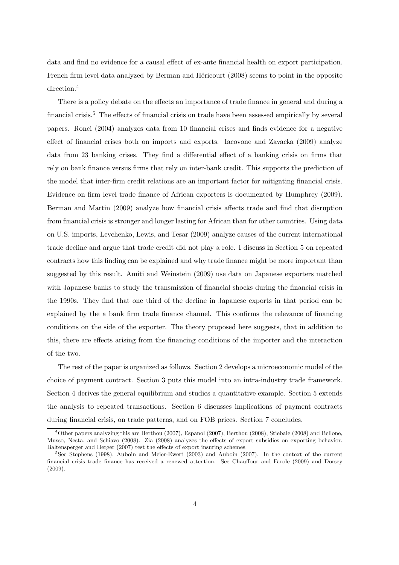data and find no evidence for a causal effect of ex-ante financial health on export participation. French firm level data analyzed by Berman and Héricourt (2008) seems to point in the opposite direction.<sup>4</sup>

There is a policy debate on the effects an importance of trade finance in general and during a financial crisis.<sup>5</sup> The effects of financial crisis on trade have been assessed empirically by several papers. Ronci (2004) analyzes data from 10 financial crises and finds evidence for a negative effect of financial crises both on imports and exports. Iacovone and Zavacka (2009) analyze data from 23 banking crises. They find a differential effect of a banking crisis on firms that rely on bank finance versus firms that rely on inter-bank credit. This supports the prediction of the model that inter-firm credit relations are an important factor for mitigating financial crisis. Evidence on firm level trade finance of African exporters is documented by Humphrey (2009). Berman and Martin (2009) analyze how financial crisis affects trade and find that disruption from financial crisis is stronger and longer lasting for African than for other countries. Using data on U.S. imports, Levchenko, Lewis, and Tesar (2009) analyze causes of the current international trade decline and argue that trade credit did not play a role. I discuss in Section 5 on repeated contracts how this finding can be explained and why trade finance might be more important than suggested by this result. Amiti and Weinstein (2009) use data on Japanese exporters matched with Japanese banks to study the transmission of financial shocks during the financial crisis in the 1990s. They find that one third of the decline in Japanese exports in that period can be explained by the a bank firm trade finance channel. This confirms the relevance of financing conditions on the side of the exporter. The theory proposed here suggests, that in addition to this, there are effects arising from the financing conditions of the importer and the interaction of the two.

The rest of the paper is organized as follows. Section 2 develops a microeconomic model of the choice of payment contract. Section 3 puts this model into an intra-industry trade framework. Section 4 derives the general equilibrium and studies a quantitative example. Section 5 extends the analysis to repeated transactions. Section 6 discusses implications of payment contracts during financial crisis, on trade patterns, and on FOB prices. Section 7 concludes.

<sup>4</sup>Other papers analyzing this are Berthou (2007), Espanol (2007), Berthou (2008), Stiebale (2008) and Bellone, Musso, Nesta, and Schiavo (2008). Zia (2008) analyzes the effects of export subsidies on exporting behavior. Baltensperger and Herger (2007) test the effects of export insuring schemes.

<sup>5</sup>See Stephens (1998), Auboin and Meier-Ewert (2003) and Auboin (2007). In the context of the current financial crisis trade finance has received a renewed attention. See Chauffour and Farole (2009) and Dorsey (2009).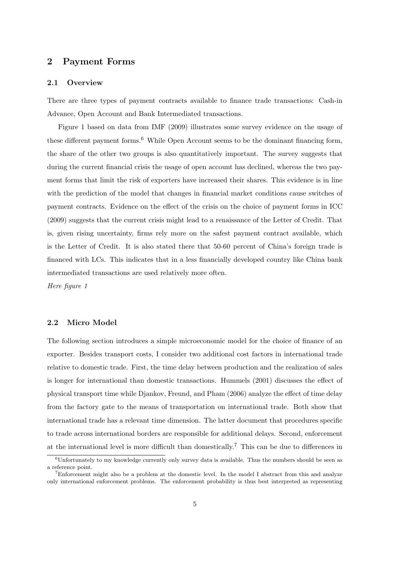## **2 Payment Forms**

#### **2.1 Overview**

There are three types of payment contracts available to finance trade transactions: Cash-in Advance, Open Account and Bank Intermediated transactions.

Figure 1 based on data from IMF (2009) illustrates some survey evidence on the usage of these different payment forms. $6$  While Open Account seems to be the dominant financing form, the share of the other two groups is also quantitatively important. The survey suggests that during the current financial crisis the usage of open account has declined, whereas the two payment forms that limit the risk of exporters have increased their shares. This evidence is in line with the prediction of the model that changes in financial market conditions cause switches of payment contracts. Evidence on the effect of the crisis on the choice of payment forms in ICC (2009) suggests that the current crisis might lead to a renaissance of the Letter of Credit. That is, given rising uncertainty, firms rely more on the safest payment contract available, which is the Letter of Credit. It is also stated there that 50-60 percent of China's foreign trade is financed with LCs. This indicates that in a less financially developed country like China bank intermediated transactions are used relatively more often.

Here figure 1

#### **2.2 Micro Model**

The following section introduces a simple microeconomic model for the choice of finance of an exporter. Besides transport costs, I consider two additional cost factors in international trade relative to domestic trade. First, the time delay between production and the realization of sales is longer for international than domestic transactions. Hummels (2001) discusses the effect of physical transport time while Djankov, Freund, and Pham (2006) analyze the effect of time delay from the factory gate to the means of transportation on international trade. Both show that international trade has a relevant time dimension. The latter document that procedures specific to trade across international borders are responsible for additional delays. Second, enforcement at the international level is more difficult than domestically.<sup>7</sup> This can be due to differences in

 $6$ Unfortunately to my knowledge currently only survey data is available. Thus the numbers should be seen as a reference point.

<sup>7</sup>Enforcement might also be a problem at the domestic level. In the model I abstract from this and analyze only international enforcement problems. The enforcement probability is thus best interpreted as representing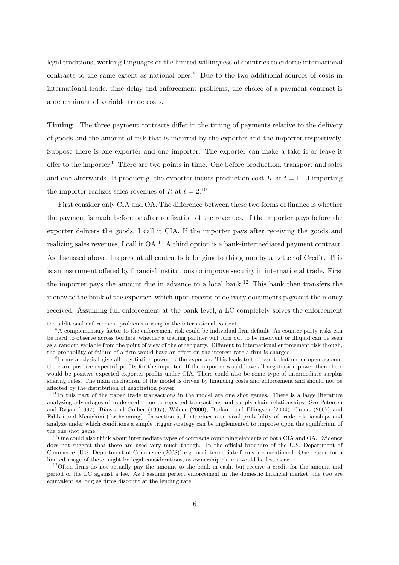legal traditions, working languages or the limited willingness of countries to enforce international contracts to the same extent as national ones.<sup>8</sup> Due to the two additional sources of costs in international trade, time delay and enforcement problems, the choice of a payment contract is a determinant of variable trade costs.

**Timing** The three payment contracts differ in the timing of payments relative to the delivery of goods and the amount of risk that is incurred by the exporter and the importer respectively. Suppose there is one exporter and one importer. The exporter can make a take it or leave it offer to the importer.<sup>9</sup> There are two points in time. One before production, transport and sales and one afterwards. If producing, the exporter incurs production cost  $K$  at  $t = 1$ . If importing the importer realizes sales revenues of R at  $t = 2.10$ 

First consider only CIA and OA. The difference between these two forms of finance is whether the payment is made before or after realization of the revenues. If the importer pays before the exporter delivers the goods, I call it CIA. If the importer pays after receiving the goods and realizing sales revenues, I call it  $OA<sup>11</sup>$  A third option is a bank-intermediated payment contract. As discussed above, I represent all contracts belonging to this group by a Letter of Credit. This is an instrument offered by financial institutions to improve security in international trade. First the importer pays the amount due in advance to a local bank.<sup>12</sup> This bank then transfers the money to the bank of the exporter, which upon receipt of delivery documents pays out the money received. Assuming full enforcement at the bank level, a LC completely solves the enforcement

the additional enforcement problems arising in the international context.

<sup>8</sup>A complementary factor to the enforcement risk could be individual firm default. As counter-party risks can be hard to observe across borders, whether a trading partner will turn out to be insolvent or illiquid can be seen as a random variable from the point of view of the other party. Different to international enforcement risk though, the probability of failure of a firm would have an effect on the interest rate a firm is charged.

<sup>9</sup>In my analysis I give all negotiation power to the exporter. This leads to the result that under open account there are positive expected profits for the importer. If the importer would have all negotiation power then there would be positive expected exporter profits under CIA. There could also be some type of intermediate surplus sharing rules. The main mechanism of the model is driven by financing costs and enforcement and should not be affected by the distribution of negotiation power.

<sup>&</sup>lt;sup>10</sup>In this part of the paper trade transactions in the model are one shot games. There is a large literature analyzing advantages of trade credit due to repeated transactions and supply-chain relationships. See Petersen and Rajan (1997), Biais and Gollier (1997), Wilner (2000), Burkart and Ellingsen (2004), Cunat (2007) and Fabbri and Menichini (forthcoming). In section 5, I introduce a survival probability of trade relationships and analyze under which conditions a simple trigger strategy can be implemented to improve upon the equilibrium of the one shot game.

<sup>&</sup>lt;sup>11</sup>One could also think about intermediate types of contracts combining elements of both CIA and OA. Evidence does not suggest that these are used very much though. In the official brochure of the U.S. Department of Commerce (U.S. Department of Commerce (2008)) e.g. no intermediate forms are mentioned. One reason for a limited usage of these might be legal considerations, as ownership claims would be less clear.

<sup>&</sup>lt;sup>12</sup>Often firms do not actually pay the amount to the bank in cash, but receive a credit for the amount and period of the LC against a fee. As I assume perfect enforcement in the domestic financial market, the two are equivalent as long as firms discount at the lending rate.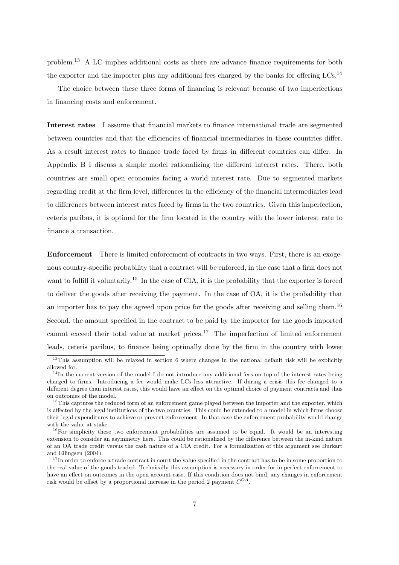problem.<sup>13</sup> A LC implies additional costs as there are advance finance requirements for both the exporter and the importer plus any additional fees charged by the banks for offering LCs.<sup>14</sup>

The choice between these three forms of financing is relevant because of two imperfections in financing costs and enforcement.

**Interest rates** I assume that financial markets to finance international trade are segmented between countries and that the efficiencies of financial intermediaries in these countries differ. As a result interest rates to finance trade faced by firms in different countries can differ. In Appendix B I discuss a simple model rationalizing the different interest rates. There, both countries are small open economies facing a world interest rate. Due to segmented markets regarding credit at the firm level, differences in the efficiency of the financial intermediaries lead to differences between interest rates faced by firms in the two countries. Given this imperfection, ceteris paribus, it is optimal for the firm located in the country with the lower interest rate to finance a transaction.

**Enforcement** There is limited enforcement of contracts in two ways. First, there is an exogenous country-specific probability that a contract will be enforced, in the case that a firm does not want to fulfill it voluntarily.<sup>15</sup> In the case of CIA, it is the probability that the exporter is forced to deliver the goods after receiving the payment. In the case of OA, it is the probability that an importer has to pay the agreed upon price for the goods after receiving and selling them.<sup>16</sup> Second, the amount specified in the contract to be paid by the importer for the goods imported cannot exceed their total value at market prices.<sup>17</sup> The imperfection of limited enforcement leads, ceteris paribus, to finance being optimally done by the firm in the country with lower

<sup>&</sup>lt;sup>13</sup>This assumption will be relaxed in section 6 where changes in the national default risk will be explicitly allowed for.

<sup>&</sup>lt;sup>14</sup>In the current version of the model I do not introduce any additional fees on top of the interest rates being charged to firms. Introducing a fee would make LCs less attractive. If during a crisis this fee changed to a different degree than interest rates, this would have an effect on the optimal choice of payment contracts and thus on outcomes of the model.

<sup>&</sup>lt;sup>15</sup>This captures the reduced form of an enforcement game played between the importer and the exporter, which is affected by the legal institutions of the two countries. This could be extended to a model in which firms choose their legal expenditures to achieve or prevent enforcement. In that case the enforcement probability would change with the value at stake.

 $16$ For simplicity these two enforcement probabilities are assumed to be equal. It would be an interesting extension to consider an asymmetry here. This could be rationalized by the difference between the in-kind nature of an OA trade credit versus the cash nature of a CIA credit. For a formalization of this argument see Burkart and Ellingsen (2004).

<sup>&</sup>lt;sup>17</sup>In order to enforce a trade contract in court the value specified in the contract has to be in some proportion to the real value of the goods traded. Technically this assumption is necessary in order for imperfect enforcement to have an effect on outcomes in the open account case. If this condition does not bind, any changes in enforcement risk would be offset by a proportional increase in the period 2 payment  $C^{OA}$ .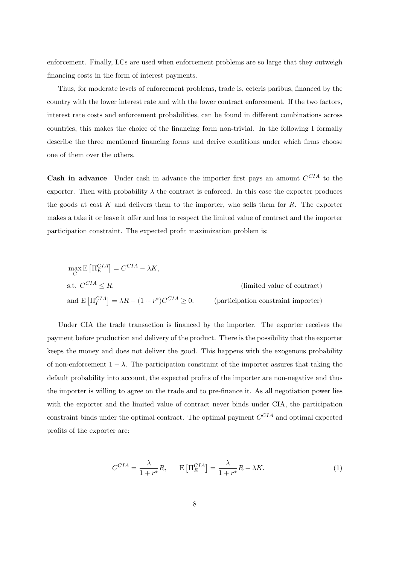enforcement. Finally, LCs are used when enforcement problems are so large that they outweigh financing costs in the form of interest payments.

Thus, for moderate levels of enforcement problems, trade is, ceteris paribus, financed by the country with the lower interest rate and with the lower contract enforcement. If the two factors, interest rate costs and enforcement probabilities, can be found in different combinations across countries, this makes the choice of the financing form non-trivial. In the following I formally describe the three mentioned financing forms and derive conditions under which firms choose one of them over the others.

**Cash in advance** Under cash in advance the importer first pays an amount  $C^{CIA}$  to the exporter. Then with probability  $\lambda$  the contract is enforced. In this case the exporter produces the goods at cost  $K$  and delivers them to the importer, who sells them for  $R$ . The exporter makes a take it or leave it offer and has to respect the limited value of contract and the importer participation constraint. The expected profit maximization problem is:

$$
\max_{C} \mathcal{E} \left[ \Pi_{E}^{CIA} \right] = C^{CIA} - \lambda K,
$$
  
s.t.  $C^{CIA} \le R$ , (limited value of contract)  
and  $\mathcal{E} \left[ \Pi_{I}^{CIA} \right] = \lambda R - (1 + r^{*})C^{CIA} \ge 0.$  (participation constraint importer)

Under CIA the trade transaction is financed by the importer. The exporter receives the payment before production and delivery of the product. There is the possibility that the exporter keeps the money and does not deliver the good. This happens with the exogenous probability of non-enforcement  $1 - \lambda$ . The participation constraint of the importer assures that taking the default probability into account, the expected profits of the importer are non-negative and thus the importer is willing to agree on the trade and to pre-finance it. As all negotiation power lies with the exporter and the limited value of contract never binds under CIA, the participation constraint binds under the optimal contract. The optimal payment  $C^{CIA}$  and optimal expected profits of the exporter are:

$$
C^{CIA} = \frac{\lambda}{1 + r^*} R, \qquad \mathcal{E}\left[\Pi_E^{CIA}\right] = \frac{\lambda}{1 + r^*} R - \lambda K. \tag{1}
$$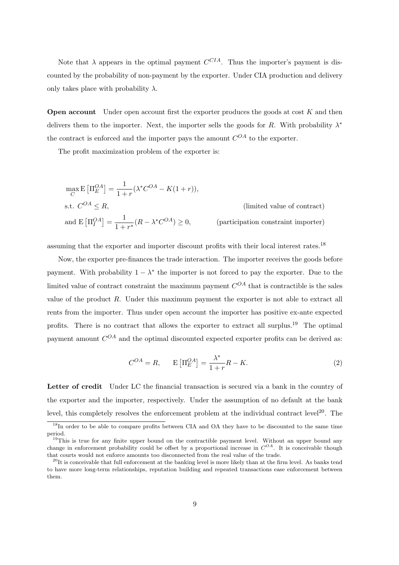Note that  $\lambda$  appears in the optimal payment  $C^{CIA}$ . Thus the importer's payment is discounted by the probability of non-payment by the exporter. Under CIA production and delivery only takes place with probability  $\lambda$ .

**Open account** Under open account first the exporter produces the goods at cost K and then delivers them to the importer. Next, the importer sells the goods for R. With probability  $\lambda^*$ the contract is enforced and the importer pays the amount  $C^{OA}$  to the exporter.

The profit maximization problem of the exporter is:

$$
\max_{C} \mathcal{E} \left[ \Pi_{E}^{OA} \right] = \frac{1}{1+r} (\lambda^* C^{OA} - K(1+r)),
$$
  
s.t.  $C^{OA} \le R$ , (limited value of contract)  
and  $\mathcal{E} \left[ \Pi_{I}^{OA} \right] = \frac{1}{1+r^*} (R - \lambda^* C^{OA}) \ge 0$ , (participation constraint importer)

assuming that the exporter and importer discount profits with their local interest rates.<sup>18</sup>

Now, the exporter pre-finances the trade interaction. The importer receives the goods before payment. With probability  $1 - \lambda^*$  the importer is not forced to pay the exporter. Due to the limited value of contract constraint the maximum payment  $C^{OA}$  that is contractible is the sales value of the product R. Under this maximum payment the exporter is not able to extract all rents from the importer. Thus under open account the importer has positive ex-ante expected profits. There is no contract that allows the exporter to extract all surplus.<sup>19</sup> The optimal payment amount  $C^{OA}$  and the optimal discounted expected exporter profits can be derived as:

$$
C^{OA} = R, \qquad \mathcal{E}\left[\Pi_E^{OA}\right] = \frac{\lambda^*}{1+r}R - K. \tag{2}
$$

Letter of credit Under LC the financial transaction is secured via a bank in the country of the exporter and the importer, respectively. Under the assumption of no default at the bank level, this completely resolves the enforcement problem at the individual contract level<sup>20</sup>. The

<sup>&</sup>lt;sup>18</sup>In order to be able to compare profits between CIA and OA they have to be discounted to the same time period.

<sup>&</sup>lt;sup>19</sup>This is true for any finite upper bound on the contractible payment level. Without an upper bound any change in enforcement probability could be offset by a proportional increase in  $C^{OA}$ . It is conceivable though that courts would not enforce amounts too disconnected from the real value of the trade.

 $^{20}$ It is conceivable that full enforcement at the banking level is more likely than at the firm level. As banks tend to have more long-term relationships, reputation building and repeated transactions ease enforcement between them.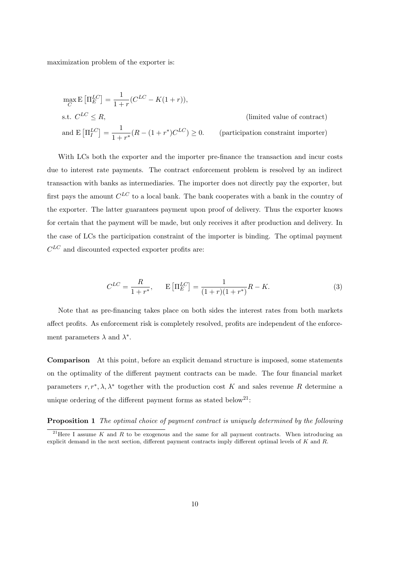maximization problem of the exporter is:

$$
\max_{C} \mathcal{E} \left[ \Pi_{E}^{LC} \right] = \frac{1}{1+r} (C^{LC} - K(1+r)),
$$
  
s.t.  $C^{LC} \le R$ , (limited value of contract)  
and  $\mathcal{E} \left[ \Pi_{I}^{LC} \right] = \frac{1}{1+r^{*}} (R - (1+r^{*})C^{LC}) \ge 0.$  (participation constraint importer)

With LCs both the exporter and the importer pre-finance the transaction and incur costs due to interest rate payments. The contract enforcement problem is resolved by an indirect transaction with banks as intermediaries. The importer does not directly pay the exporter, but first pays the amount  $C^{LC}$  to a local bank. The bank cooperates with a bank in the country of the exporter. The latter guarantees payment upon proof of delivery. Thus the exporter knows for certain that the payment will be made, but only receives it after production and delivery. In the case of LCs the participation constraint of the importer is binding. The optimal payment  $C^{LC}$  and discounted expected exporter profits are:

$$
C^{LC} = \frac{R}{1 + r^*}, \qquad \mathcal{E}\left[\Pi_E^{LC}\right] = \frac{1}{(1 + r)(1 + r^*)}R - K.
$$
\n(3)

Note that as pre-financing takes place on both sides the interest rates from both markets affect profits. As enforcement risk is completely resolved, profits are independent of the enforcement parameters  $\lambda$  and  $\lambda^*$ .

**Comparison** At this point, before an explicit demand structure is imposed, some statements on the optimality of the different payment contracts can be made. The four financial market parameters  $r, r^*, \lambda, \lambda^*$  together with the production cost K and sales revenue R determine a unique ordering of the different payment forms as stated below<sup>21</sup>:

**Proposition 1** The optimal choice of payment contract is uniquely determined by the following

<sup>&</sup>lt;sup>21</sup>Here I assume K and R to be exogenous and the same for all payment contracts. When introducing an explicit demand in the next section, different payment contracts imply different optimal levels of K and R.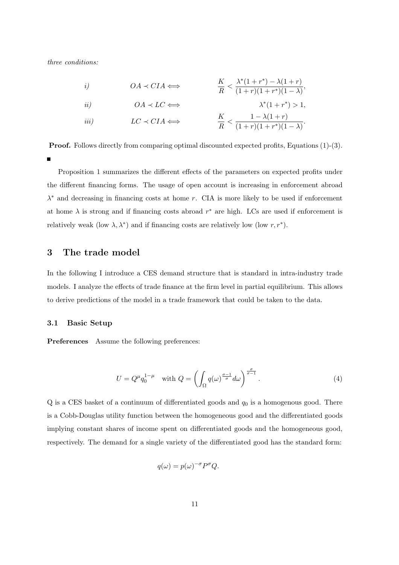three conditions:

*i)*  
\n
$$
OA \prec CIA \Longleftrightarrow \frac{K}{R} < \frac{\lambda^*(1+r^*) - \lambda(1+r)}{(1+r)(1+r^*)(1-\lambda)},
$$
\n*ii)*  
\n
$$
OC \prec CIA \Longleftrightarrow \frac{K}{R} < \frac{1-\lambda(1+r)}{(1+r)(1+r^*)(1-\lambda)}.
$$

**Proof.** Follows directly from comparing optimal discounted expected profits, Equations (1)-(3).

Proposition 1 summarizes the different effects of the parameters on expected profits under the different financing forms. The usage of open account is increasing in enforcement abroad  $\lambda^*$  and decreasing in financing costs at home r. CIA is more likely to be used if enforcement at home  $\lambda$  is strong and if financing costs abroad  $r^*$  are high. LCs are used if enforcement is relatively weak (low  $\lambda, \lambda^*$ ) and if financing costs are relatively low (low  $r, r^*$ ).

## **3 The trade model**

In the following I introduce a CES demand structure that is standard in intra-industry trade models. I analyze the effects of trade finance at the firm level in partial equilibrium. This allows to derive predictions of the model in a trade framework that could be taken to the data.

#### **3.1 Basic Setup**

**Preferences** Assume the following preferences:

$$
U = Q^{\mu} q_0^{1-\mu} \quad \text{with } Q = \left( \int_{\Omega} q(\omega)^{\frac{\sigma-1}{\sigma}} d\omega \right)^{\frac{\sigma}{\sigma-1}}.
$$
 (4)

 $Q$  is a CES basket of a continuum of differentiated goods and  $q_0$  is a homogenous good. There is a Cobb-Douglas utility function between the homogeneous good and the differentiated goods implying constant shares of income spent on differentiated goods and the homogeneous good, respectively. The demand for a single variety of the differentiated good has the standard form:

$$
q(\omega) = p(\omega)^{-\sigma} P^{\sigma} Q.
$$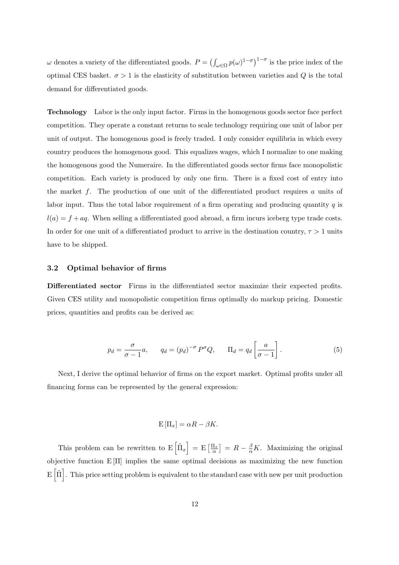$ω$  denotes a variety of the differentiated goods.  $P = (\int_{ω ∈ Ω} p(ω)^{1-σ})^{1-σ}$  is the price index of the optimal CES basket.  $\sigma > 1$  is the elasticity of substitution between varieties and Q is the total demand for differentiated goods.

**Technology** Labor is the only input factor. Firms in the homogenous goods sector face perfect competition. They operate a constant returns to scale technology requiring one unit of labor per unit of output. The homogenous good is freely traded. I only consider equilibria in which every country produces the homogenous good. This equalizes wages, which I normalize to one making the homogenous good the Numeraire. In the differentiated goods sector firms face monopolistic competition. Each variety is produced by only one firm. There is a fixed cost of entry into the market f. The production of one unit of the differentiated product requires a units of labor input. Thus the total labor requirement of a firm operating and producing quantity  $q$  is  $l(a) = f + aq$ . When selling a differentiated good abroad, a firm incurs iceberg type trade costs. In order for one unit of a differentiated product to arrive in the destination country,  $\tau > 1$  units have to be shipped.

#### **3.2 Optimal behavior of firms**

**Differentiated sector** Firms in the differentiated sector maximize their expected profits. Given CES utility and monopolistic competition firms optimally do markup pricing. Domestic prices, quantities and profits can be derived as:

$$
p_d = \frac{\sigma}{\sigma - 1} a, \qquad q_d = (p_d)^{-\sigma} P^{\sigma} Q, \qquad \Pi_d = q_d \left[ \frac{a}{\sigma - 1} \right]. \tag{5}
$$

Next, I derive the optimal behavior of firms on the export market. Optimal profits under all financing forms can be represented by the general expression:

$$
\mathrm{E}\left[\Pi_x\right] = \alpha R - \beta K.
$$

This problem can be rewritten to  $E\left[\tilde{\Pi}_x\right] = E\left[\frac{\Pi_x}{\alpha}\right] = R - \frac{\beta}{\alpha}K$ . Maximizing the original objective function E [Π] implies the same optimal decisions as maximizing the new function  $\mathbb{E}[\tilde{\Pi}]$ . This price setting problem is equivalent to the standard case with new per unit production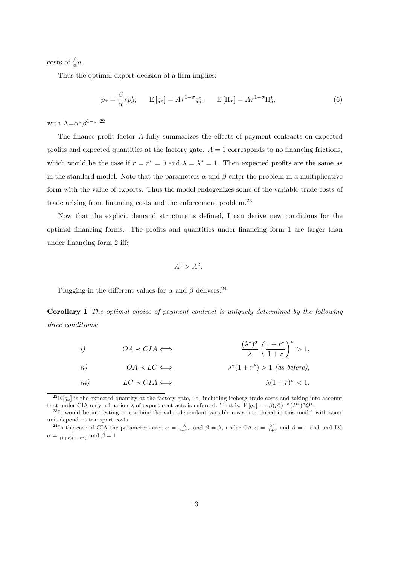costs of  $\frac{\beta}{\alpha}a$ .

Thus the optimal export decision of a firm implies:

$$
p_x = \frac{\beta}{\alpha} \tau p_d^*, \qquad \mathcal{E}\left[q_x\right] = A \tau^{1-\sigma} q_d^*, \qquad \mathcal{E}\left[\Pi_x\right] = A \tau^{1-\sigma} \Pi_d^*, \tag{6}
$$

with  $A = \alpha^{\sigma} \beta^{1-\sigma}$ .<sup>22</sup>

The finance profit factor A fully summarizes the effects of payment contracts on expected profits and expected quantities at the factory gate.  $A = 1$  corresponds to no financing frictions, which would be the case if  $r = r^* = 0$  and  $\lambda = \lambda^* = 1$ . Then expected profits are the same as in the standard model. Note that the parameters  $\alpha$  and  $\beta$  enter the problem in a multiplicative form with the value of exports. Thus the model endogenizes some of the variable trade costs of trade arising from financing costs and the enforcement problem.<sup>23</sup>

Now that the explicit demand structure is defined, I can derive new conditions for the optimal financing forms. The profits and quantities under financing form 1 are larger than under financing form 2 iff:

$$
A^1 > A^2
$$

Plugging in the different values for  $\alpha$  and  $\beta$  delivers:<sup>24</sup>

**Corollary 1** The optimal choice of payment contract is uniquely determined by the following three conditions:

*i)*  
\n
$$
OA \prec CIA \Longleftrightarrow \frac{(\lambda^*)^{\sigma}}{\lambda} \left(\frac{1+r^*}{1+r}\right)^{\sigma} > 1,
$$
\n*ii)*  
\n
$$
OA \prec LC \Longleftrightarrow \lambda^*(1+r^*) > 1 \text{ (as before)},
$$
\n*iii)*  
\n
$$
LC \prec CIA \Longleftrightarrow \lambda(1+r)^{\sigma} < 1.
$$

 $^{22}E[g_x]$  is the expected quantity at the factory gate, i.e. including iceberg trade costs and taking into account that under CIA only a fraction  $\lambda$  of export contracts is enforced. That is:  $\mathbf{E}[q_x] = \tau \beta(p_x^*)^{-\sigma}(P^*)^{\sigma} Q^*$ .

 $^{23}$ It would be interesting to combine the value-dependant variable costs introduced in this model with some unit-dependent transport costs.

<sup>&</sup>lt;sup>24</sup>In the case of CIA the parameters are:  $\alpha = \frac{\lambda}{1+r^*}$  and  $\beta = \lambda$ , under OA  $\alpha = \frac{\lambda^*}{1+r}$  and  $\beta = 1$  and und LC  $\alpha = \frac{1}{(1+r)(1+r^*)}$  and  $\beta = 1$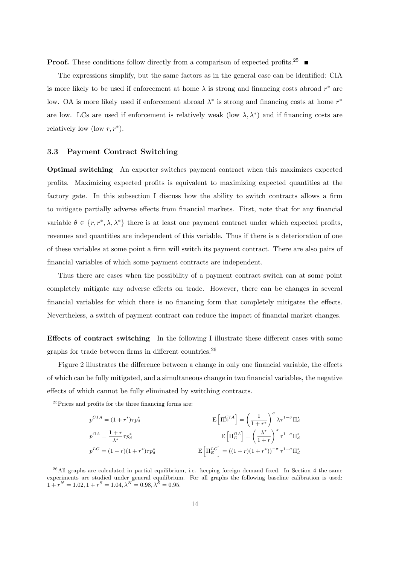**Proof.** These conditions follow directly from a comparison of expected profits.<sup>25</sup>

The expressions simplify, but the same factors as in the general case can be identified: CIA is more likely to be used if enforcement at home  $\lambda$  is strong and financing costs abroad  $r^*$  are low. OA is more likely used if enforcement abroad  $\lambda^*$  is strong and financing costs at home  $r^*$ are low. LCs are used if enforcement is relatively weak (low  $\lambda, \lambda^*$ ) and if financing costs are relatively low (low  $r, r^*$ ).

#### **3.3 Payment Contract Switching**

**Optimal switching** An exporter switches payment contract when this maximizes expected profits. Maximizing expected profits is equivalent to maximizing expected quantities at the factory gate. In this subsection I discuss how the ability to switch contracts allows a firm to mitigate partially adverse effects from financial markets. First, note that for any financial variable  $\theta \in \{r, r^*, \lambda, \lambda^*\}$  there is at least one payment contract under which expected profits, revenues and quantities are independent of this variable. Thus if there is a deterioration of one of these variables at some point a firm will switch its payment contract. There are also pairs of financial variables of which some payment contracts are independent.

Thus there are cases when the possibility of a payment contract switch can at some point completely mitigate any adverse effects on trade. However, there can be changes in several financial variables for which there is no financing form that completely mitigates the effects. Nevertheless, a switch of payment contract can reduce the impact of financial market changes.

**Effects of contract switching** In the following I illustrate these different cases with some graphs for trade between firms in different countries.<sup>26</sup>

Figure 2 illustrates the difference between a change in only one financial variable, the effects of which can be fully mitigated, and a simultaneous change in two financial variables, the negative effects of which cannot be fully eliminated by switching contracts.

<sup>25</sup>Prices and profits for the three financing forms are:

$$
p^{CIA} = (1+r^*)\tau p_d^*
$$
  
\n
$$
p^{OA} = \frac{1+r}{\lambda^*}\tau p_d^*
$$
  
\n
$$
p^{LC} = (1+r)(1+r^*)\tau p_d^*
$$
  
\n
$$
\mathbf{E}\left[\Pi_E^{CA}\right] = \left(\frac{1}{1+r}\right)^{\sigma} \lambda \tau^{1-\sigma} \Pi_d^*
$$
  
\n
$$
\mathbf{E}\left[\Pi_E^{CA}\right] = \left(\frac{\lambda^*}{1+r}\right)^{\sigma} \tau^{1-\sigma} \Pi_d^*
$$

 $^{26}$ All graphs are calculated in partial equilibrium, i.e. keeping foreign demand fixed. In Section 4 the same experiments are studied under general equilibrium. For all graphs the following baseline calibration is used:  $1 + r^N = 1.02, 1 + r^S = 1.04, \lambda^N = 0.98, \lambda^{\tilde{S}} = 0.95.$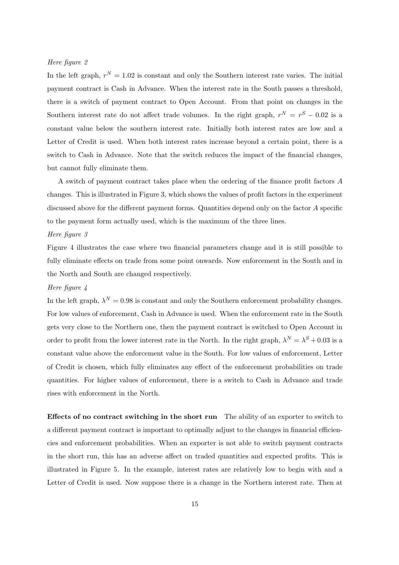#### Here figure 2

In the left graph,  $r^N = 1.02$  is constant and only the Southern interest rate varies. The initial payment contract is Cash in Advance. When the interest rate in the South passes a threshold, there is a switch of payment contract to Open Account. From that point on changes in the Southern interest rate do not affect trade volumes. In the right graph,  $r^N = r^S - 0.02$  is a constant value below the southern interest rate. Initially both interest rates are low and a Letter of Credit is used. When both interest rates increase beyond a certain point, there is a switch to Cash in Advance. Note that the switch reduces the impact of the financial changes, but cannot fully eliminate them.

A switch of payment contract takes place when the ordering of the finance profit factors A changes. This is illustrated in Figure 3, which shows the values of profit factors in the experiment discussed above for the different payment forms. Quantities depend only on the factor A specific to the payment form actually used, which is the maximum of the three lines.

#### Here figure 3

Figure 4 illustrates the case where two financial parameters change and it is still possible to fully eliminate effects on trade from some point onwards. Now enforcement in the South and in the North and South are changed respectively.

#### Here figure 4

In the left graph,  $\lambda^N = 0.98$  is constant and only the Southern enforcement probability changes. For low values of enforcement, Cash in Advance is used. When the enforcement rate in the South gets very close to the Northern one, then the payment contract is switched to Open Account in order to profit from the lower interest rate in the North. In the right graph,  $\lambda^N = \lambda^S + 0.03$  is a constant value above the enforcement value in the South. For low values of enforcement, Letter of Credit is chosen, which fully eliminates any effect of the enforcement probabilities on trade quantities. For higher values of enforcement, there is a switch to Cash in Advance and trade rises with enforcement in the North.

**Effects of no contract switching in the short run** The ability of an exporter to switch to a different payment contract is important to optimally adjust to the changes in financial efficiencies and enforcement probabilities. When an exporter is not able to switch payment contracts in the short run, this has an adverse affect on traded quantities and expected profits. This is illustrated in Figure 5. In the example, interest rates are relatively low to begin with and a Letter of Credit is used. Now suppose there is a change in the Northern interest rate. Then at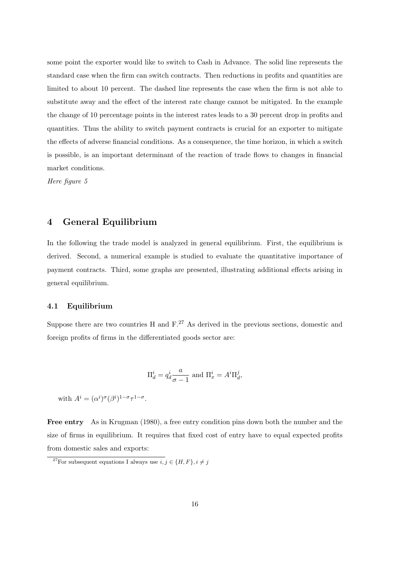some point the exporter would like to switch to Cash in Advance. The solid line represents the standard case when the firm can switch contracts. Then reductions in profits and quantities are limited to about 10 percent. The dashed line represents the case when the firm is not able to substitute away and the effect of the interest rate change cannot be mitigated. In the example the change of 10 percentage points in the interest rates leads to a 30 percent drop in profits and quantities. Thus the ability to switch payment contracts is crucial for an exporter to mitigate the effects of adverse financial conditions. As a consequence, the time horizon, in which a switch is possible, is an important determinant of the reaction of trade flows to changes in financial market conditions.

Here figure 5

## **4 General Equilibrium**

In the following the trade model is analyzed in general equilibrium. First, the equilibrium is derived. Second, a numerical example is studied to evaluate the quantitative importance of payment contracts. Third, some graphs are presented, illustrating additional effects arising in general equilibrium.

#### **4.1 Equilibrium**

Suppose there are two countries H and  $F^{27}$ . As derived in the previous sections, domestic and foreign profits of firms in the differentiated goods sector are:

$$
\Pi_d^i = q_d^i \frac{a}{\sigma - 1}
$$
 and 
$$
\Pi_x^i = A^i \Pi_d^j,
$$

with  $A^i = (\alpha^i)^\sigma (\beta^i)^{1-\sigma} \tau^{1-\sigma}$ .

**Free entry** As in Krugman (1980), a free entry condition pins down both the number and the size of firms in equilibrium. It requires that fixed cost of entry have to equal expected profits from domestic sales and exports:

<sup>&</sup>lt;sup>27</sup>For subsequent equations I always use  $i, j \in \{H, F\}, i \neq j$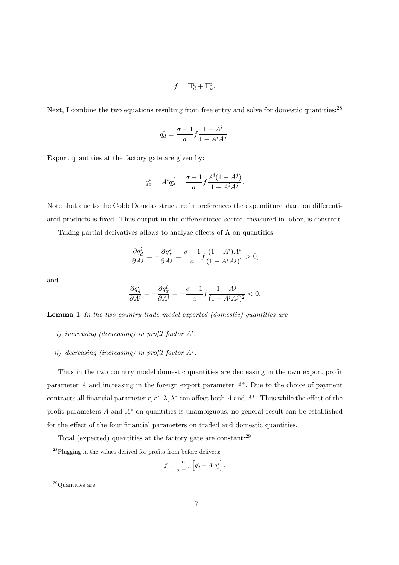$$
f = \Pi_d^i + \Pi_x^i.
$$

Next, I combine the two equations resulting from free entry and solve for domestic quantities:<sup>28</sup>

$$
q_d^i = \frac{\sigma - 1}{a} f \frac{1 - A^i}{1 - A^i A^j}.
$$

Export quantities at the factory gate are given by:

$$
q_x^i = A^i q_d^j = \frac{\sigma - 1}{a} f \frac{A^i (1 - A^j)}{1 - A^i A^j}.
$$

Note that due to the Cobb Douglas structure in preferences the expenditure share on differentiated products is fixed. Thus output in the differentiated sector, measured in labor, is constant.

Taking partial derivatives allows to analyze effects of A on quantities:

$$
\frac{\partial q_d^i}{\partial A^j} = -\frac{\partial q_x^i}{\partial A^j} = \frac{\sigma - 1}{a} f \frac{(1 - A^i) A^i}{(1 - A^i A^j)^2} > 0,
$$

and

$$
\frac{\partial q_d^i}{\partial A^i} = -\frac{\partial q_x^i}{\partial A^i} = -\frac{\sigma - 1}{a} f \frac{1 - A^j}{(1 - A^i A^j)^2} < 0.
$$

**Lemma 1** In the two country trade model exported (domestic) quantities are

- i) increasing (decreasing) in profit factor  $A^i$ ,
- ii) decreasing (increasing) in profit factor  $A^{j}$ .

Thus in the two country model domestic quantities are decreasing in the own export profit parameter A and increasing in the foreign export parameter A∗. Due to the choice of payment contracts all financial parameter  $r, r^*, \lambda, \lambda^*$  can affect both A and  $A^*$ . Thus while the effect of the profit parameters A and  $A^*$  on quantities is unambiguous, no general result can be established for the effect of the four financial parameters on traded and domestic quantities.

Total (expected) quantities at the factory gate are constant:<sup>29</sup>

$$
f = \frac{a}{\sigma - 1} \left[ q_d^i + A^i q_d^j \right].
$$

 $\rm ^{29}Quantities$  are:

<sup>&</sup>lt;sup>28</sup>Plugging in the values derived for profits from before delivers: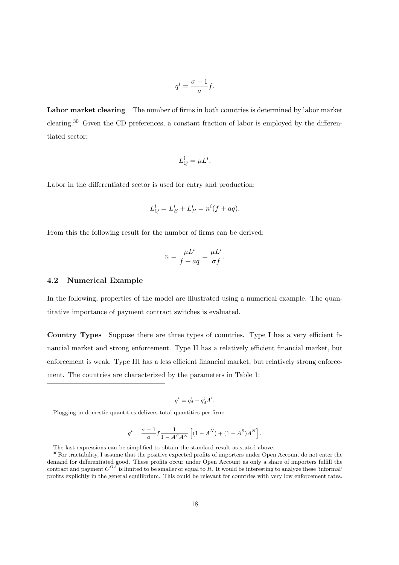$$
q^i = \frac{\sigma - 1}{a}f.
$$

Labor market clearing The number of firms in both countries is determined by labor market clearing.<sup>30</sup> Given the CD preferences, a constant fraction of labor is employed by the differentiated sector:

$$
L_Q^i = \mu L^i.
$$

Labor in the differentiated sector is used for entry and production:

$$
L_Q^i = L_E^i + L_P^i = n^i(f + aq).
$$

From this the following result for the number of firms can be derived:

$$
n = \frac{\mu L^i}{f + aq} = \frac{\mu L^i}{\sigma f}.
$$

#### **4.2 Numerical Example**

In the following, properties of the model are illustrated using a numerical example. The quantitative importance of payment contract switches is evaluated.

**Country Types** Suppose there are three types of countries. Type I has a very efficient financial market and strong enforcement. Type II has a relatively efficient financial market, but enforcement is weak. Type III has a less efficient financial market, but relatively strong enforcement. The countries are characterized by the parameters in Table 1:

$$
q^i = q_d^i + q_d^j A^i.
$$

Plugging in domestic quantities delivers total quantities per firm:

$$
q^i = \frac{\sigma-1}{a} f \frac{1}{1-A^S A^N} \left[ (1-A^N) + (1-A^S) A^N \right].
$$

The last expressions can be simplified to obtain the standard result as stated above.

<sup>&</sup>lt;sup>30</sup>For tractability, I assume that the positive expected profits of importers under Open Account do not enter the demand for differentiated good. These profits occur under Open Account as only a share of importers fulfill the contract and payment  $C^{OA}$  is limited to be smaller or equal to R. It would be interesting to analyze these 'informal' profits explicitly in the general equilibrium. This could be relevant for countries with very low enforcement rates.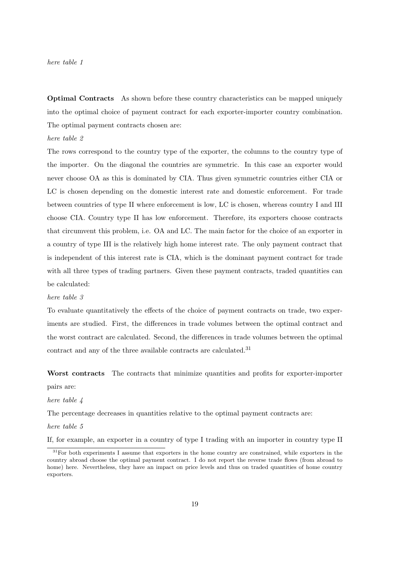#### here table 1

**Optimal Contracts** As shown before these country characteristics can be mapped uniquely into the optimal choice of payment contract for each exporter-importer country combination. The optimal payment contracts chosen are:

#### here table 2

The rows correspond to the country type of the exporter, the columns to the country type of the importer. On the diagonal the countries are symmetric. In this case an exporter would never choose OA as this is dominated by CIA. Thus given symmetric countries either CIA or LC is chosen depending on the domestic interest rate and domestic enforcement. For trade between countries of type II where enforcement is low, LC is chosen, whereas country I and III choose CIA. Country type II has low enforcement. Therefore, its exporters choose contracts that circumvent this problem, i.e. OA and LC. The main factor for the choice of an exporter in a country of type III is the relatively high home interest rate. The only payment contract that is independent of this interest rate is CIA, which is the dominant payment contract for trade with all three types of trading partners. Given these payment contracts, traded quantities can be calculated:

#### here table 3

To evaluate quantitatively the effects of the choice of payment contracts on trade, two experiments are studied. First, the differences in trade volumes between the optimal contract and the worst contract are calculated. Second, the differences in trade volumes between the optimal contract and any of the three available contracts are calculated.<sup>31</sup>

**Worst contracts** The contracts that minimize quantities and profits for exporter-importer

pairs are:

here table 4

The percentage decreases in quantities relative to the optimal payment contracts are:

here table 5

If, for example, an exporter in a country of type I trading with an importer in country type II

<sup>&</sup>lt;sup>31</sup>For both experiments I assume that exporters in the home country are constrained, while exporters in the country abroad choose the optimal payment contract. I do not report the reverse trade flows (from abroad to home) here. Nevertheless, they have an impact on price levels and thus on traded quantities of home country exporters.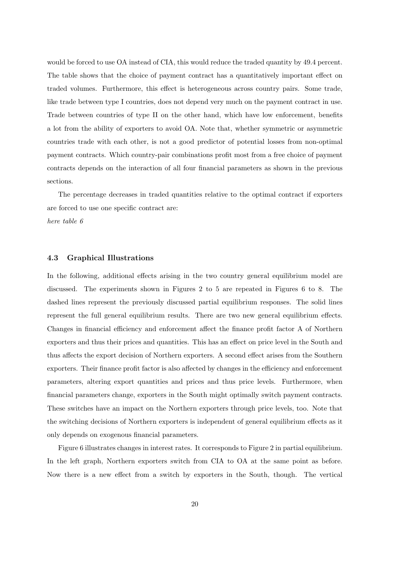would be forced to use OA instead of CIA, this would reduce the traded quantity by 49.4 percent. The table shows that the choice of payment contract has a quantitatively important effect on traded volumes. Furthermore, this effect is heterogeneous across country pairs. Some trade, like trade between type I countries, does not depend very much on the payment contract in use. Trade between countries of type II on the other hand, which have low enforcement, benefits a lot from the ability of exporters to avoid OA. Note that, whether symmetric or asymmetric countries trade with each other, is not a good predictor of potential losses from non-optimal payment contracts. Which country-pair combinations profit most from a free choice of payment contracts depends on the interaction of all four financial parameters as shown in the previous sections.

The percentage decreases in traded quantities relative to the optimal contract if exporters are forced to use one specific contract are: here table 6

#### **4.3 Graphical Illustrations**

In the following, additional effects arising in the two country general equilibrium model are discussed. The experiments shown in Figures 2 to 5 are repeated in Figures 6 to 8. The dashed lines represent the previously discussed partial equilibrium responses. The solid lines represent the full general equilibrium results. There are two new general equilibrium effects. Changes in financial efficiency and enforcement affect the finance profit factor A of Northern exporters and thus their prices and quantities. This has an effect on price level in the South and thus affects the export decision of Northern exporters. A second effect arises from the Southern exporters. Their finance profit factor is also affected by changes in the efficiency and enforcement parameters, altering export quantities and prices and thus price levels. Furthermore, when financial parameters change, exporters in the South might optimally switch payment contracts. These switches have an impact on the Northern exporters through price levels, too. Note that the switching decisions of Northern exporters is independent of general equilibrium effects as it only depends on exogenous financial parameters.

Figure 6 illustrates changes in interest rates. It corresponds to Figure 2 in partial equilibrium. In the left graph, Northern exporters switch from CIA to OA at the same point as before. Now there is a new effect from a switch by exporters in the South, though. The vertical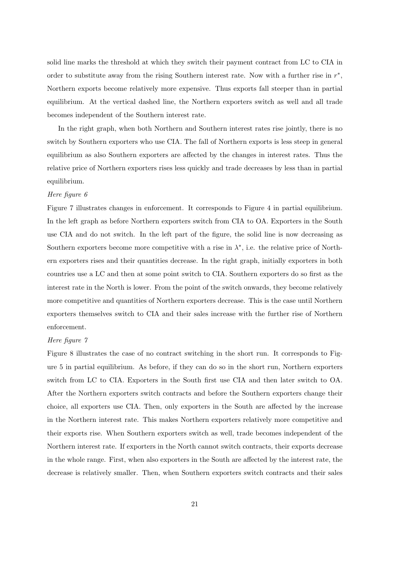solid line marks the threshold at which they switch their payment contract from LC to CIA in order to substitute away from the rising Southern interest rate. Now with a further rise in  $r^*$ , Northern exports become relatively more expensive. Thus exports fall steeper than in partial equilibrium. At the vertical dashed line, the Northern exporters switch as well and all trade becomes independent of the Southern interest rate.

In the right graph, when both Northern and Southern interest rates rise jointly, there is no switch by Southern exporters who use CIA. The fall of Northern exports is less steep in general equilibrium as also Southern exporters are affected by the changes in interest rates. Thus the relative price of Northern exporters rises less quickly and trade decreases by less than in partial equilibrium.

#### Here figure 6

Figure 7 illustrates changes in enforcement. It corresponds to Figure 4 in partial equilibrium. In the left graph as before Northern exporters switch from CIA to OA. Exporters in the South use CIA and do not switch. In the left part of the figure, the solid line is now decreasing as Southern exporters become more competitive with a rise in  $\lambda^*$ , i.e. the relative price of Northern exporters rises and their quantities decrease. In the right graph, initially exporters in both countries use a LC and then at some point switch to CIA. Southern exporters do so first as the interest rate in the North is lower. From the point of the switch onwards, they become relatively more competitive and quantities of Northern exporters decrease. This is the case until Northern exporters themselves switch to CIA and their sales increase with the further rise of Northern enforcement.

#### Here figure 7

Figure 8 illustrates the case of no contract switching in the short run. It corresponds to Figure 5 in partial equilibrium. As before, if they can do so in the short run, Northern exporters switch from LC to CIA. Exporters in the South first use CIA and then later switch to OA. After the Northern exporters switch contracts and before the Southern exporters change their choice, all exporters use CIA. Then, only exporters in the South are affected by the increase in the Northern interest rate. This makes Northern exporters relatively more competitive and their exports rise. When Southern exporters switch as well, trade becomes independent of the Northern interest rate. If exporters in the North cannot switch contracts, their exports decrease in the whole range. First, when also exporters in the South are affected by the interest rate, the decrease is relatively smaller. Then, when Southern exporters switch contracts and their sales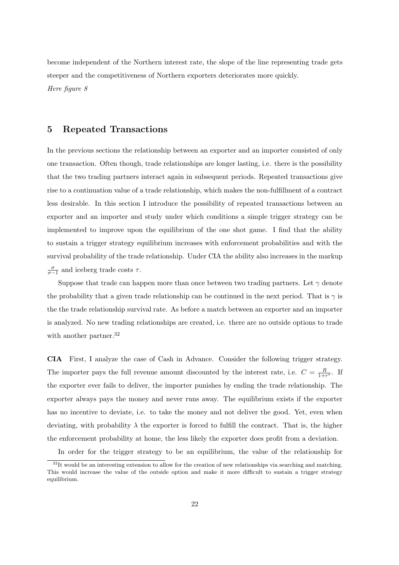become independent of the Northern interest rate, the slope of the line representing trade gets steeper and the competitiveness of Northern exporters deteriorates more quickly. Here figure 8

## **5 Repeated Transactions**

In the previous sections the relationship between an exporter and an importer consisted of only one transaction. Often though, trade relationships are longer lasting, i.e. there is the possibility that the two trading partners interact again in subsequent periods. Repeated transactions give rise to a continuation value of a trade relationship, which makes the non-fulfillment of a contract less desirable. In this section I introduce the possibility of repeated transactions between an exporter and an importer and study under which conditions a simple trigger strategy can be implemented to improve upon the equilibrium of the one shot game. I find that the ability to sustain a trigger strategy equilibrium increases with enforcement probabilities and with the survival probability of the trade relationship. Under CIA the ability also increases in the markup  $\frac{\sigma}{\sigma-1}$  and iceberg trade costs  $\tau$ .

Suppose that trade can happen more than once between two trading partners. Let  $\gamma$  denote the probability that a given trade relationship can be continued in the next period. That is  $\gamma$  is the the trade relationship survival rate. As before a match between an exporter and an importer is analyzed. No new trading relationships are created, i.e. there are no outside options to trade with another partner.<sup>32</sup>

**CIA** First, I analyze the case of Cash in Advance. Consider the following trigger strategy. The importer pays the full revenue amount discounted by the interest rate, i.e.  $C = \frac{R}{1+r^*}$ . If the exporter ever fails to deliver, the importer punishes by ending the trade relationship. The exporter always pays the money and never runs away. The equilibrium exists if the exporter has no incentive to deviate, i.e. to take the money and not deliver the good. Yet, even when deviating, with probability  $\lambda$  the exporter is forced to fulfill the contract. That is, the higher the enforcement probability at home, the less likely the exporter does profit from a deviation.

In order for the trigger strategy to be an equilibrium, the value of the relationship for

 $32$ It would be an interesting extension to allow for the creation of new relationships via searching and matching. This would increase the value of the outside option and make it more difficult to sustain a trigger strategy equilibrium.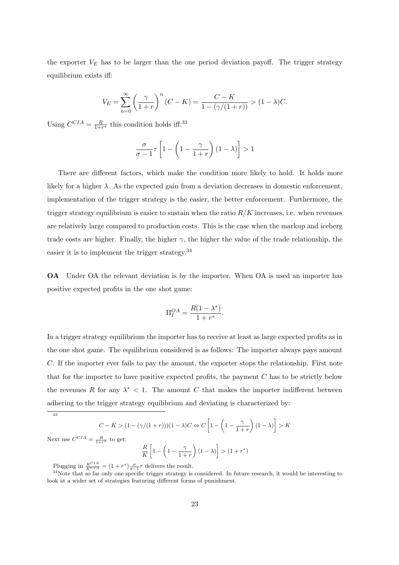the exporter  $V_E$  has to be larger than the one period deviation payoff. The trigger strategy equilibrium exists iff:

$$
V_E = \sum_{n=0}^{\infty} \left(\frac{\gamma}{1+r}\right)^n (C-K) = \frac{C-K}{1-(\gamma/(1+r))} > (1-\lambda)C.
$$

Using  $C^{CIA} = \frac{R}{1+r^*}$  this condition holds iff:<sup>33</sup>

$$
\frac{\sigma}{\sigma - 1} \tau \left[ 1 - \left( 1 - \frac{\gamma}{1 + r} \right) (1 - \lambda) \right] > 1
$$

There are different factors, which make the condition more likely to hold. It holds more likely for a higher  $\lambda$ . As the expected gain from a deviation decreases in domestic enforcement, implementation of the trigger strategy is the easier, the better enforcement. Furthermore, the trigger strategy equilibrium is easier to sustain when the ratio  $R/K$  increases, i.e. when revenues are relatively large compared to production costs. This is the case when the markup and iceberg trade costs are higher. Finally, the higher  $\gamma$ , the higher the value of the trade relationship, the easier it is to implement the trigger strategy.<sup>34</sup>

**OA** Under OA the relevant deviation is by the importer. When OA is used an importer has positive expected profits in the one shot game:

$$
\Pi_I^{OA} = \frac{R(1 - \lambda^*)}{1 + r^*}.
$$

In a trigger strategy equilibrium the importer has to receive at least as large expected profits as in the one shot game. The equilibrium considered is as follows: The importer always pays amount C. If the importer ever fails to pay the amount, the exporter stops the relationship. First note that for the importer to have positive expected profits, the payment C has to be strictly below the revenues R for any  $\lambda^*$  < 1. The amount C that makes the importer indifferent between adhering to the trigger strategy equilibrium and deviating is characterized by:

33

$$
C - K > (1 - (\gamma/(1+r)))(1 - \lambda)C \Leftrightarrow C \left[ 1 - \left( 1 - \frac{\gamma}{1+r} \right)(1-\lambda) \right] > K
$$

Next use  $C^{CIA} = \frac{R}{1+r^*}$  to get:

$$
\frac{R}{K}\left[1-\left(1-\frac{\gamma}{1+r}\right)(1-\lambda)\right] > (1+r^*)
$$

Plugging in  $\frac{R^{CIA}}{K^{CIA}} = (1 + r^*) \frac{\sigma}{\sigma - 1} \tau$  delivers the result.<br><sup>34</sup>Note that so far only one specific trigger strategy is considered. In future research, it would be interesting to look at a wider set of strategies featuring different forms of punishment.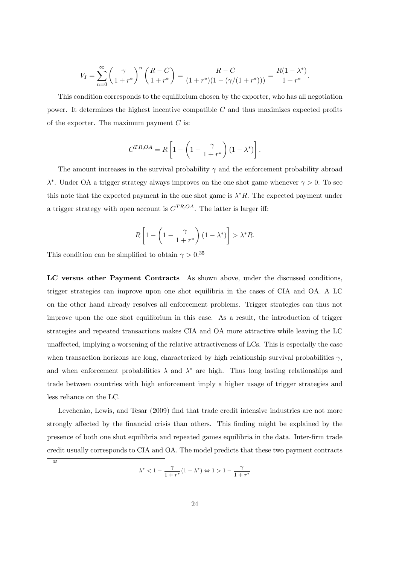$$
V_I = \sum_{n=0}^{\infty} \left(\frac{\gamma}{1+r^*}\right)^n \left(\frac{R-C}{1+r^*}\right) = \frac{R-C}{(1+r^*)(1-(\gamma/(1+r^*)))} = \frac{R(1-\lambda^*)}{1+r^*}.
$$

This condition corresponds to the equilibrium chosen by the exporter, who has all negotiation power. It determines the highest incentive compatible  $C$  and thus maximizes expected profits of the exporter. The maximum payment  $C$  is:

$$
C^{TR,OA} = R \left[ 1 - \left( 1 - \frac{\gamma}{1 + r^*} \right) (1 - \lambda^*) \right].
$$

The amount increases in the survival probability  $\gamma$  and the enforcement probability abroad  $\lambda^*$ . Under OA a trigger strategy always improves on the one shot game whenever  $\gamma > 0$ . To see this note that the expected payment in the one shot game is  $\lambda^*R$ . The expected payment under a trigger strategy with open account is  $C^{TR,OA}$ . The latter is larger iff:

$$
R\left[1-\left(1-\frac{\gamma}{1+r^*}\right)(1-\lambda^*)\right] > \lambda^* R.
$$

This condition can be simplified to obtain  $\gamma > 0.35$ 

35

**LC versus other Payment Contracts** As shown above, under the discussed conditions, trigger strategies can improve upon one shot equilibria in the cases of CIA and OA. A LC on the other hand already resolves all enforcement problems. Trigger strategies can thus not improve upon the one shot equilibrium in this case. As a result, the introduction of trigger strategies and repeated transactions makes CIA and OA more attractive while leaving the LC unaffected, implying a worsening of the relative attractiveness of LCs. This is especially the case when transaction horizons are long, characterized by high relationship survival probabilities  $\gamma$ , and when enforcement probabilities  $\lambda$  and  $\lambda^*$  are high. Thus long lasting relationships and trade between countries with high enforcement imply a higher usage of trigger strategies and less reliance on the LC.

Levchenko, Lewis, and Tesar (2009) find that trade credit intensive industries are not more strongly affected by the financial crisis than others. This finding might be explained by the presence of both one shot equilibria and repeated games equilibria in the data. Inter-firm trade credit usually corresponds to CIA and OA. The model predicts that these two payment contracts

 $\lambda^* < 1 - \frac{\gamma}{1 + r^*} (1 - \lambda^*) \Leftrightarrow 1 > 1 - \frac{\gamma}{1 + r^*}$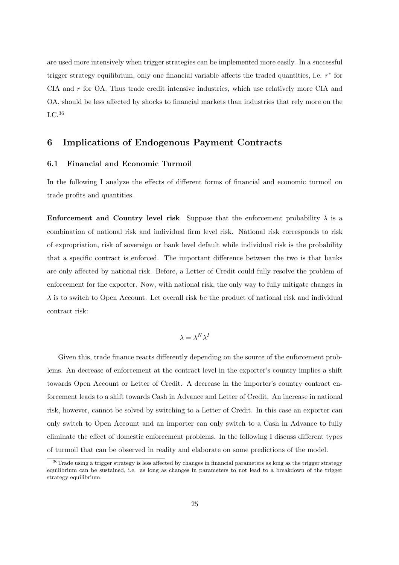are used more intensively when trigger strategies can be implemented more easily. In a successful trigger strategy equilibrium, only one financial variable affects the traded quantities, i.e. r<sup>∗</sup> for CIA and r for OA. Thus trade credit intensive industries, which use relatively more CIA and OA, should be less affected by shocks to financial markets than industries that rely more on the  $\rm LC.^{36}$ 

## **6 Implications of Endogenous Payment Contracts**

#### **6.1 Financial and Economic Turmoil**

In the following I analyze the effects of different forms of financial and economic turmoil on trade profits and quantities.

**Enforcement and Country level risk** Suppose that the enforcement probability  $\lambda$  is a combination of national risk and individual firm level risk. National risk corresponds to risk of expropriation, risk of sovereign or bank level default while individual risk is the probability that a specific contract is enforced. The important difference between the two is that banks are only affected by national risk. Before, a Letter of Credit could fully resolve the problem of enforcement for the exporter. Now, with national risk, the only way to fully mitigate changes in  $\lambda$  is to switch to Open Account. Let overall risk be the product of national risk and individual contract risk:

$$
\lambda=\lambda^N\lambda^I
$$

Given this, trade finance reacts differently depending on the source of the enforcement problems. An decrease of enforcement at the contract level in the exporter's country implies a shift towards Open Account or Letter of Credit. A decrease in the importer's country contract enforcement leads to a shift towards Cash in Advance and Letter of Credit. An increase in national risk, however, cannot be solved by switching to a Letter of Credit. In this case an exporter can only switch to Open Account and an importer can only switch to a Cash in Advance to fully eliminate the effect of domestic enforcement problems. In the following I discuss different types of turmoil that can be observed in reality and elaborate on some predictions of the model.

<sup>&</sup>lt;sup>36</sup>Trade using a trigger strategy is less affected by changes in financial parameters as long as the trigger strategy equilibrium can be sustained, i.e. as long as changes in parameters to not lead to a breakdown of the trigger strategy equilibrium.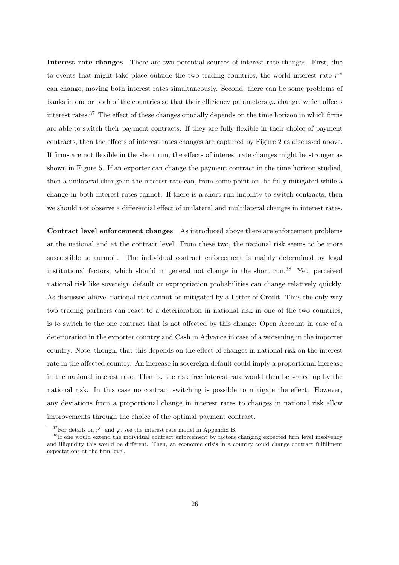**Interest rate changes** There are two potential sources of interest rate changes. First, due to events that might take place outside the two trading countries, the world interest rate  $r^w$ can change, moving both interest rates simultaneously. Second, there can be some problems of banks in one or both of the countries so that their efficiency parameters  $\varphi_i$  change, which affects interest rates.<sup>37</sup> The effect of these changes crucially depends on the time horizon in which firms are able to switch their payment contracts. If they are fully flexible in their choice of payment contracts, then the effects of interest rates changes are captured by Figure 2 as discussed above. If firms are not flexible in the short run, the effects of interest rate changes might be stronger as shown in Figure 5. If an exporter can change the payment contract in the time horizon studied, then a unilateral change in the interest rate can, from some point on, be fully mitigated while a change in both interest rates cannot. If there is a short run inability to switch contracts, then we should not observe a differential effect of unilateral and multilateral changes in interest rates.

**Contract level enforcement changes** As introduced above there are enforcement problems at the national and at the contract level. From these two, the national risk seems to be more susceptible to turmoil. The individual contract enforcement is mainly determined by legal institutional factors, which should in general not change in the short run.<sup>38</sup> Yet, perceived national risk like sovereign default or expropriation probabilities can change relatively quickly. As discussed above, national risk cannot be mitigated by a Letter of Credit. Thus the only way two trading partners can react to a deterioration in national risk in one of the two countries, is to switch to the one contract that is not affected by this change: Open Account in case of a deterioration in the exporter country and Cash in Advance in case of a worsening in the importer country. Note, though, that this depends on the effect of changes in national risk on the interest rate in the affected country. An increase in sovereign default could imply a proportional increase in the national interest rate. That is, the risk free interest rate would then be scaled up by the national risk. In this case no contract switching is possible to mitigate the effect. However, any deviations from a proportional change in interest rates to changes in national risk allow improvements through the choice of the optimal payment contract.

<sup>&</sup>lt;sup>37</sup>For details on  $r^w$  and  $\varphi_i$  see the interest rate model in Appendix B.

<sup>&</sup>lt;sup>38</sup>If one would extend the individual contract enforcement by factors changing expected firm level insolvency and illiquidity this would be different. Then, an economic crisis in a country could change contract fulfillment expectations at the firm level.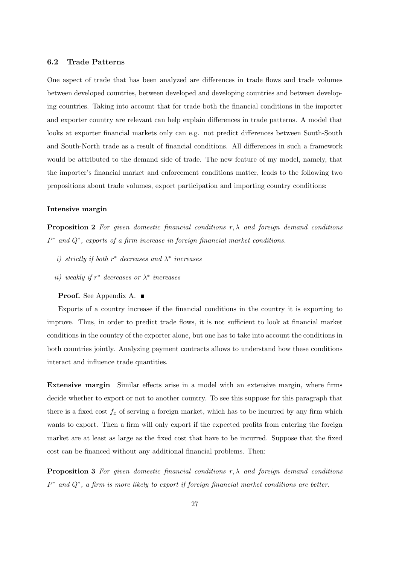#### **6.2 Trade Patterns**

One aspect of trade that has been analyzed are differences in trade flows and trade volumes between developed countries, between developed and developing countries and between developing countries. Taking into account that for trade both the financial conditions in the importer and exporter country are relevant can help explain differences in trade patterns. A model that looks at exporter financial markets only can e.g. not predict differences between South-South and South-North trade as a result of financial conditions. All differences in such a framework would be attributed to the demand side of trade. The new feature of my model, namely, that the importer's financial market and enforcement conditions matter, leads to the following two propositions about trade volumes, export participation and importing country conditions:

#### **Intensive margin**

**Proposition 2** For given domestic financial conditions  $r, \lambda$  and foreign demand conditions P<sup>∗</sup> and Q∗, exports of a firm increase in foreign financial market conditions.

- i) strictly if both  $r^*$  decreases and  $\lambda^*$  increases
- ii) weakly if  $r^*$  decreases or  $\lambda^*$  increases

#### **Proof.** See Appendix A.

Exports of a country increase if the financial conditions in the country it is exporting to improve. Thus, in order to predict trade flows, it is not sufficient to look at financial market conditions in the country of the exporter alone, but one has to take into account the conditions in both countries jointly. Analyzing payment contracts allows to understand how these conditions interact and influence trade quantities.

**Extensive margin** Similar effects arise in a model with an extensive margin, where firms decide whether to export or not to another country. To see this suppose for this paragraph that there is a fixed cost  $f_x$  of serving a foreign market, which has to be incurred by any firm which wants to export. Then a firm will only export if the expected profits from entering the foreign market are at least as large as the fixed cost that have to be incurred. Suppose that the fixed cost can be financed without any additional financial problems. Then:

**Proposition 3** For given domestic financial conditions  $r, \lambda$  and foreign demand conditions P<sup>∗</sup> and Q∗, a firm is more likely to export if foreign financial market conditions are better.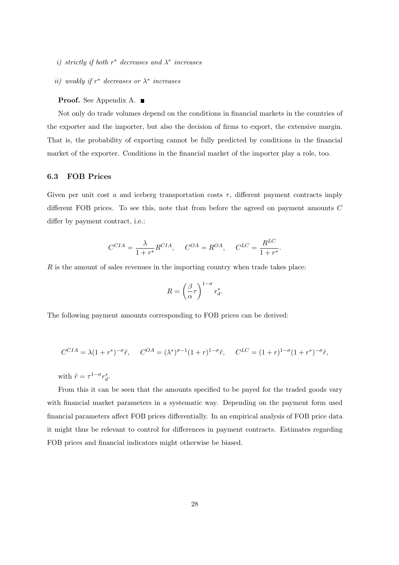- i) strictly if both  $r^*$  decreases and  $\lambda^*$  increases
- ii) weakly if  $r^*$  decreases or  $\lambda^*$  increases

#### **Proof.** See Appendix A.

Not only do trade volumes depend on the conditions in financial markets in the countries of the exporter and the importer, but also the decision of firms to export, the extensive margin. That is, the probability of exporting cannot be fully predicted by conditions in the financial market of the exporter. Conditions in the financial market of the importer play a role, too.

#### **6.3 FOB Prices**

Given per unit cost a and iceberg transportation costs  $\tau$ , different payment contracts imply different FOB prices. To see this, note that from before the agreed on payment amounts C differ by payment contract, *i.e.*:

$$
C^{CIA} = \frac{\lambda}{1 + r^*} R^{CIA}, \quad C^{OA} = R^{OA}, \quad C^{LC} = \frac{R^{LC}}{1 + r^*}.
$$

R is the amount of sales revenues in the importing country when trade takes place:

$$
R = \left(\frac{\beta}{\alpha}\tau\right)^{1-\sigma} r_d^*.
$$

The following payment amounts corresponding to FOB prices can be derived:

$$
C^{CIA} = \lambda (1 + r^*)^{-\sigma} \tilde{r}, \quad C^{OA} = (\lambda^*)^{\sigma - 1} (1 + r)^{1 - \sigma} \tilde{r}, \quad C^{LC} = (1 + r)^{1 - \sigma} (1 + r^*)^{-\sigma} \tilde{r},
$$

with  $\tilde{r} = \tau^{1-\sigma} r_d^*$ .

From this it can be seen that the amounts specified to be payed for the traded goods vary with financial market parameters in a systematic way. Depending on the payment form used financial parameters affect FOB prices differentially. In an empirical analysis of FOB price data it might thus be relevant to control for differences in payment contracts. Estimates regarding FOB prices and financial indicators might otherwise be biased.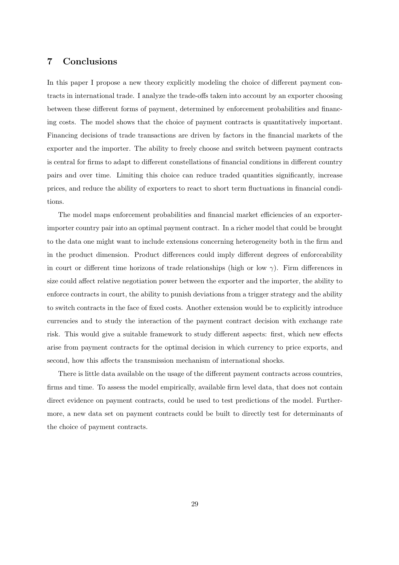## **7 Conclusions**

In this paper I propose a new theory explicitly modeling the choice of different payment contracts in international trade. I analyze the trade-offs taken into account by an exporter choosing between these different forms of payment, determined by enforcement probabilities and financing costs. The model shows that the choice of payment contracts is quantitatively important. Financing decisions of trade transactions are driven by factors in the financial markets of the exporter and the importer. The ability to freely choose and switch between payment contracts is central for firms to adapt to different constellations of financial conditions in different country pairs and over time. Limiting this choice can reduce traded quantities significantly, increase prices, and reduce the ability of exporters to react to short term fluctuations in financial conditions.

The model maps enforcement probabilities and financial market efficiencies of an exporterimporter country pair into an optimal payment contract. In a richer model that could be brought to the data one might want to include extensions concerning heterogeneity both in the firm and in the product dimension. Product differences could imply different degrees of enforceability in court or different time horizons of trade relationships (high or low  $\gamma$ ). Firm differences in size could affect relative negotiation power between the exporter and the importer, the ability to enforce contracts in court, the ability to punish deviations from a trigger strategy and the ability to switch contracts in the face of fixed costs. Another extension would be to explicitly introduce currencies and to study the interaction of the payment contract decision with exchange rate risk. This would give a suitable framework to study different aspects: first, which new effects arise from payment contracts for the optimal decision in which currency to price exports, and second, how this affects the transmission mechanism of international shocks.

There is little data available on the usage of the different payment contracts across countries, firms and time. To assess the model empirically, available firm level data, that does not contain direct evidence on payment contracts, could be used to test predictions of the model. Furthermore, a new data set on payment contracts could be built to directly test for determinants of the choice of payment contracts.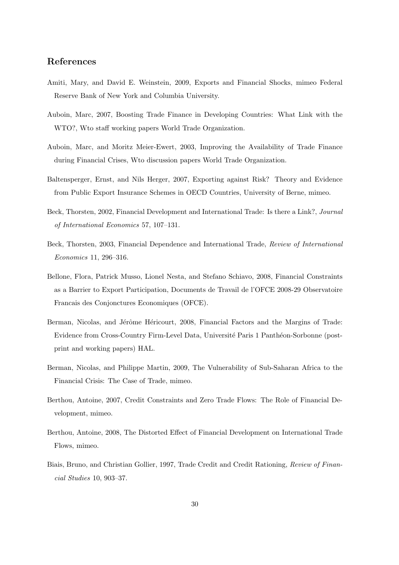## **References**

- Amiti, Mary, and David E. Weinstein, 2009, Exports and Financial Shocks, mimeo Federal Reserve Bank of New York and Columbia University.
- Auboin, Marc, 2007, Boosting Trade Finance in Developing Countries: What Link with the WTO?, Wto staff working papers World Trade Organization.
- Auboin, Marc, and Moritz Meier-Ewert, 2003, Improving the Availability of Trade Finance during Financial Crises, Wto discussion papers World Trade Organization.
- Baltensperger, Ernst, and Nils Herger, 2007, Exporting against Risk? Theory and Evidence from Public Export Insurance Schemes in OECD Countries, University of Berne, mimeo.
- Beck, Thorsten, 2002, Financial Development and International Trade: Is there a Link?, Journal of International Economics 57, 107–131.
- Beck, Thorsten, 2003, Financial Dependence and International Trade, Review of International Economics 11, 296–316.
- Bellone, Flora, Patrick Musso, Lionel Nesta, and Stefano Schiavo, 2008, Financial Constraints as a Barrier to Export Participation, Documents de Travail de l'OFCE 2008-29 Observatoire Francais des Conjonctures Economiques (OFCE).
- Berman, Nicolas, and Jérôme Héricourt, 2008, Financial Factors and the Margins of Trade: Evidence from Cross-Country Firm-Level Data, Université Paris 1 Panthéon-Sorbonne (postprint and working papers) HAL.
- Berman, Nicolas, and Philippe Martin, 2009, The Vulnerability of Sub-Saharan Africa to the Financial Crisis: The Case of Trade, mimeo.
- Berthou, Antoine, 2007, Credit Constraints and Zero Trade Flows: The Role of Financial Development, mimeo.
- Berthou, Antoine, 2008, The Distorted Effect of Financial Development on International Trade Flows, mimeo.
- Biais, Bruno, and Christian Gollier, 1997, Trade Credit and Credit Rationing, Review of Financial Studies 10, 903–37.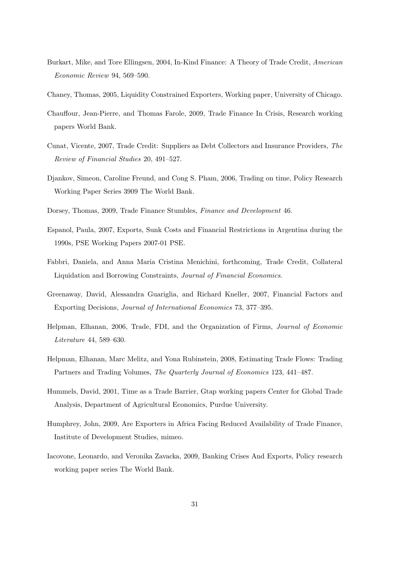- Burkart, Mike, and Tore Ellingsen, 2004, In-Kind Finance: A Theory of Trade Credit, American Economic Review 94, 569–590.
- Chaney, Thomas, 2005, Liquidity Constrained Exporters, Working paper, University of Chicago.
- Chauffour, Jean-Pierre, and Thomas Farole, 2009, Trade Finance In Crisis, Research working papers World Bank.
- Cunat, Vicente, 2007, Trade Credit: Suppliers as Debt Collectors and Insurance Providers, The Review of Financial Studies 20, 491–527.
- Djankov, Simeon, Caroline Freund, and Cong S. Pham, 2006, Trading on time, Policy Research Working Paper Series 3909 The World Bank.
- Dorsey, Thomas, 2009, Trade Finance Stumbles, Finance and Development 46.
- Espanol, Paula, 2007, Exports, Sunk Costs and Financial Restrictions in Argentina during the 1990s, PSE Working Papers 2007-01 PSE.
- Fabbri, Daniela, and Anna Maria Cristina Menichini, forthcoming, Trade Credit, Collateral Liquidation and Borrowing Constraints, Journal of Financial Economics.
- Greenaway, David, Alessandra Guariglia, and Richard Kneller, 2007, Financial Factors and Exporting Decisions, Journal of International Economics 73, 377–395.
- Helpman, Elhanan, 2006, Trade, FDI, and the Organization of Firms, Journal of Economic Literature 44, 589–630.
- Helpman, Elhanan, Marc Melitz, and Yona Rubinstein, 2008, Estimating Trade Flows: Trading Partners and Trading Volumes, The Quarterly Journal of Economics 123, 441–487.
- Hummels, David, 2001, Time as a Trade Barrier, Gtap working papers Center for Global Trade Analysis, Department of Agricultural Economics, Purdue University.
- Humphrey, John, 2009, Are Exporters in Africa Facing Reduced Availability of Trade Finance, Institute of Development Studies, mimeo.
- Iacovone, Leonardo, and Veronika Zavacka, 2009, Banking Crises And Exports, Policy research working paper series The World Bank.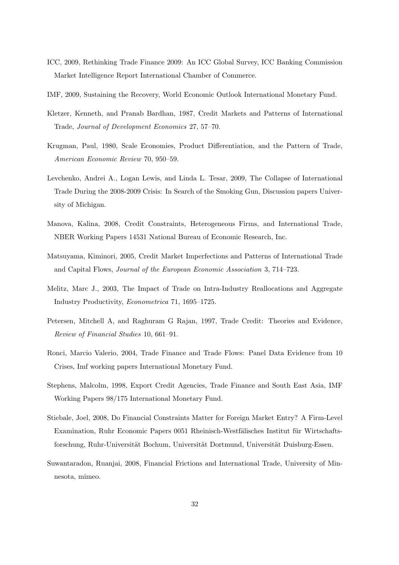- ICC, 2009, Rethinking Trade Finance 2009: An ICC Global Survey, ICC Banking Commission Market Intelligence Report International Chamber of Commerce.
- IMF, 2009, Sustaining the Recovery, World Economic Outlook International Monetary Fund.
- Kletzer, Kenneth, and Pranab Bardhan, 1987, Credit Markets and Patterns of International Trade, Journal of Development Economics 27, 57–70.
- Krugman, Paul, 1980, Scale Economies, Product Differentiation, and the Pattern of Trade, American Economic Review 70, 950–59.
- Levchenko, Andrei A., Logan Lewis, and Linda L. Tesar, 2009, The Collapse of International Trade During the 2008-2009 Crisis: In Search of the Smoking Gun, Discussion papers University of Michigan.
- Manova, Kalina, 2008, Credit Constraints, Heterogeneous Firms, and International Trade, NBER Working Papers 14531 National Bureau of Economic Research, Inc.
- Matsuyama, Kiminori, 2005, Credit Market Imperfections and Patterns of International Trade and Capital Flows, Journal of the European Economic Association 3, 714–723.
- Melitz, Marc J., 2003, The Impact of Trade on Intra-Industry Reallocations and Aggregate Industry Productivity, Econometrica 71, 1695–1725.
- Petersen, Mitchell A, and Raghuram G Rajan, 1997, Trade Credit: Theories and Evidence, Review of Financial Studies 10, 661–91.
- Ronci, Marcio Valerio, 2004, Trade Finance and Trade Flows: Panel Data Evidence from 10 Crises, Imf working papers International Monetary Fund.
- Stephens, Malcolm, 1998, Export Credit Agencies, Trade Finance and South East Asia, IMF Working Papers 98/175 International Monetary Fund.
- Stiebale, Joel, 2008, Do Financial Constraints Matter for Foreign Market Entry? A Firm-Level Examination, Ruhr Economic Papers 0051 Rheinisch-Westfälisches Institut für Wirtschaftsforschung, Ruhr-Universität Bochum, Universität Dortmund, Universität Duisburg-Essen.
- Suwantaradon, Ruanjai, 2008, Financial Frictions and International Trade, University of Minnesota, mimeo.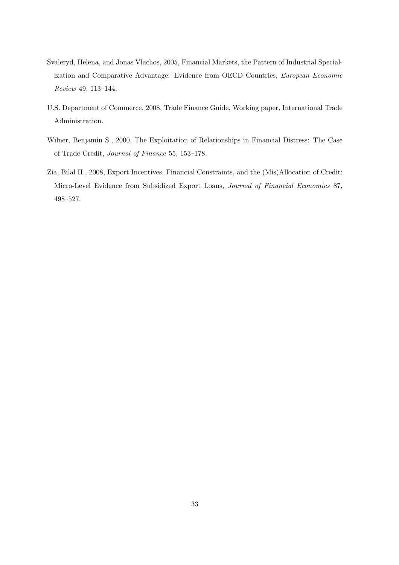- Svaleryd, Helena, and Jonas Vlachos, 2005, Financial Markets, the Pattern of Industrial Specialization and Comparative Advantage: Evidence from OECD Countries, European Economic Review 49, 113–144.
- U.S. Department of Commerce, 2008, Trade Finance Guide, Working paper, International Trade Administration.
- Wilner, Benjamin S., 2000, The Exploitation of Relationships in Financial Distress: The Case of Trade Credit, Journal of Finance 55, 153–178.
- Zia, Bilal H., 2008, Export Incentives, Financial Constraints, and the (Mis)Allocation of Credit: Micro-Level Evidence from Subsidized Export Loans, Journal of Financial Economics 87, 498–527.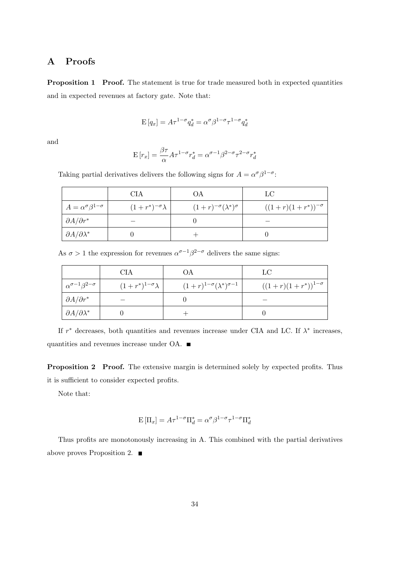## **A Proofs**

**Proposition 1 Proof.** The statement is true for trade measured both in expected quantities and in expected revenues at factory gate. Note that:

$$
\mathbf{E}\left[q_x\right] = A\tau^{1-\sigma}q_d^* = \alpha^{\sigma}\beta^{1-\sigma}\tau^{1-\sigma}q_d^*
$$

and

$$
\mathbf{E}\left[r_x\right] = \frac{\beta\tau}{\alpha}A\tau^{1-\sigma}r_d^* = \alpha^{\sigma-1}\beta^{2-\sigma}\tau^{2-\sigma}r_d^*
$$

Taking partial derivatives delivers the following signs for  $A = \alpha^{\sigma} \beta^{1-\sigma}$ :

|                                        | CIA                        | OА                                    | LC                         |
|----------------------------------------|----------------------------|---------------------------------------|----------------------------|
| $A = \alpha^{\sigma} \beta^{1-\sigma}$ | $(1+r^*)^{-\sigma}\lambda$ | $(1+r)^{-\sigma}(\lambda^*)^{\sigma}$ | $((1+r)(1+r^*))^{-\sigma}$ |
| $\partial A/\partial r^*$              |                            |                                       |                            |
| $\partial A/\partial \lambda^*$        |                            |                                       |                            |

As  $\sigma > 1$  the expression for revenues  $\alpha^{\sigma-1}\beta^{2-\sigma}$  delivers the same signs:

|                                     | CIA                         | OА                                       | LC                          |
|-------------------------------------|-----------------------------|------------------------------------------|-----------------------------|
| $\alpha^{\sigma-1}\beta^{2-\sigma}$ | $(1+r^*)^{1-\sigma}\lambda$ | $(1+r)^{1-\sigma}(\lambda^*)^{\sigma-1}$ | $((1+r)(1+r^*))^{1-\sigma}$ |
| $\partial A/\partial r^*$           |                             |                                          |                             |
| $\partial A/\partial \lambda^*$     |                             |                                          |                             |

If  $r^*$  decreases, both quantities and revenues increase under CIA and LC. If  $\lambda^*$  increases, quantities and revenues increase under OA.

**Proposition 2** Proof. The extensive margin is determined solely by expected profits. Thus it is sufficient to consider expected profits.

Note that:

$$
\mathbf{E}\left[\Pi_x\right] = A\tau^{1-\sigma}\Pi_d^* = \alpha^{\sigma}\beta^{1-\sigma}\tau^{1-\sigma}\Pi_d^*
$$

Thus profits are monotonously increasing in A. This combined with the partial derivatives above proves Proposition 2.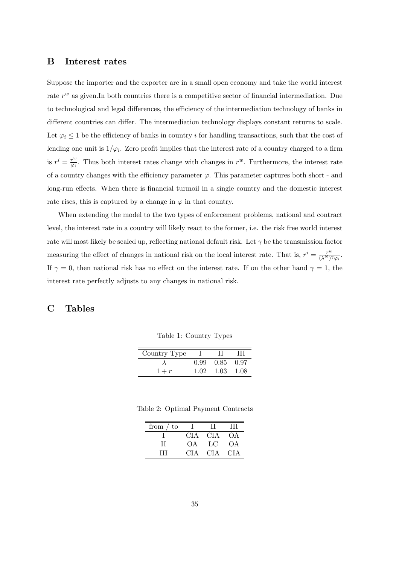### **B Interest rates**

Suppose the importer and the exporter are in a small open economy and take the world interest rate  $r^w$  as given. In both countries there is a competitive sector of financial intermediation. Due to technological and legal differences, the efficiency of the intermediation technology of banks in different countries can differ. The intermediation technology displays constant returns to scale. Let  $\varphi_i \leq 1$  be the efficiency of banks in country i for handling transactions, such that the cost of lending one unit is  $1/\varphi_i$ . Zero profit implies that the interest rate of a country charged to a firm is  $r^i = \frac{r^w}{\varphi_i}$ . Thus both interest rates change with changes in  $r^w$ . Furthermore, the interest rate of a country changes with the efficiency parameter  $\varphi$ . This parameter captures both short - and long-run effects. When there is financial turmoil in a single country and the domestic interest rate rises, this is captured by a change in  $\varphi$  in that country.

When extending the model to the two types of enforcement problems, national and contract level, the interest rate in a country will likely react to the former, i.e. the risk free world interest rate will most likely be scaled up, reflecting national default risk. Let  $\gamma$  be the transmission factor measuring the effect of changes in national risk on the local interest rate. That is,  $r^i = \frac{r^w}{(\lambda^N)^\gamma \varphi_i}$ . If  $\gamma = 0$ , then national risk has no effect on the interest rate. If on the other hand  $\gamma = 1$ , the interest rate perfectly adjusts to any changes in national risk.

## **C Tables**

|  |  | Table 1: Country Types |  |
|--|--|------------------------|--|
|--|--|------------------------|--|

| Country Type | $\mathbf{H}$   | ,,, |
|--------------|----------------|-----|
|              | 0.99 0.85 0.97 |     |
| $1+r$        | 1.02 1.03 1.08 |     |

Table 2: Optimal Payment Contracts

| from $\prime$ to | H       | Ш     |  |
|------------------|---------|-------|--|
|                  | CIA CIA | OA.   |  |
| $\mathbf{H}$     | OA LC   | (C) A |  |
| Ш                | CIA CIA | -CIA  |  |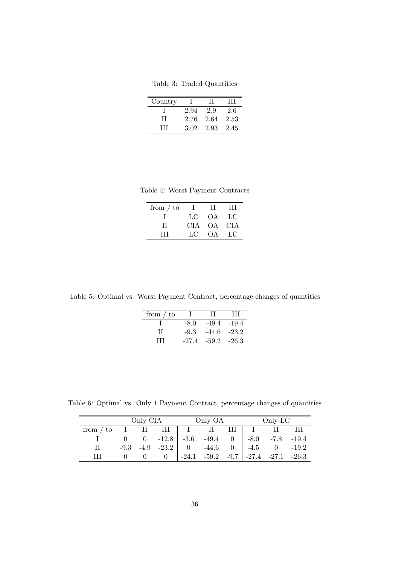Table 3: Traded Quantities

| Country |      | $\mathbf{H}$   | Ш   |  |
|---------|------|----------------|-----|--|
|         | 2.94 | 2.9            | 2.6 |  |
| Н       |      | 2.76 2.64 2.53 |     |  |
| Ш       |      | 3.02 2.93 2.45 |     |  |

Table 4: Worst Payment Contracts

| from $\prime$ to |    | H          | Ш           |  |
|------------------|----|------------|-------------|--|
|                  | LC | - OA - LC  |             |  |
| П                |    | CIA OA CIA |             |  |
| ŦŦ               | LC | OA.        | $L_{\rm C}$ |  |

Table 5: Optimal vs. Worst Payment Contract, percentage changes of quantities

| from $\prime$ to |         | H             | Ш               |
|------------------|---------|---------------|-----------------|
|                  | $-8.0$  |               | $-49.4$ $-19.4$ |
| TГ               | $-9.3$  | $-44.6$       | $-23.2$         |
| Ħ                | $-27.4$ | $-59.2 -26.3$ |                 |
|                  |         |               |                 |

Table 6: Optimal vs. Only 1 Payment Contract, percentage changes of quantities

|            | Only CIA      |        | Only OA         |                |         | Only LC        |         |                |         |
|------------|---------------|--------|-----------------|----------------|---------|----------------|---------|----------------|---------|
| from<br>to | and the state | Н      | Ш               | $\mathbf{1}$   |         | Ш              |         |                |         |
|            |               |        | $0 \quad -12.8$ | $-3.6$ .       | $-49.4$ | 0 <sup>1</sup> |         | $-8.0 -7.8$    | $-19.4$ |
| Н          | $-9.3$        | $-4.9$ | $-23.2$         | $\overline{0}$ | $-44.6$ | 0              | $-4.5$  | $\overline{0}$ | $-19.2$ |
| ттт        |               |        |                 | $-24.1$        | $-59.2$ | $-9.7$         | $-27.4$ | $-27.1$        | $-26.3$ |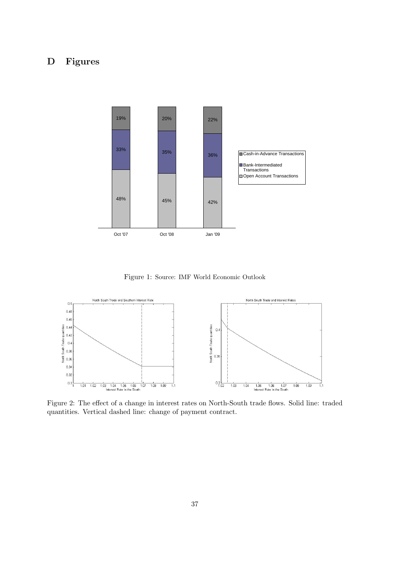## **D Figures**



Figure 1: Source: IMF World Economic Outlook



Figure 2: The effect of a change in interest rates on North-South trade flows. Solid line: traded quantities. Vertical dashed line: change of payment contract.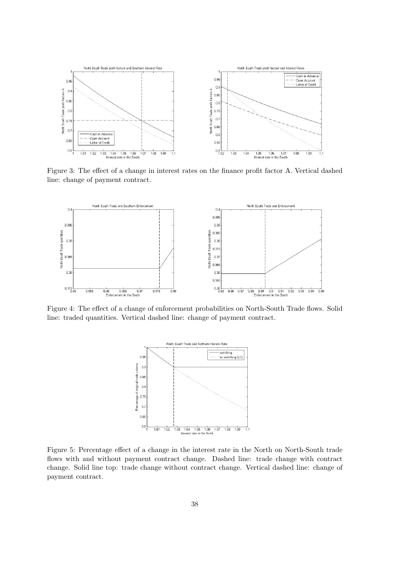

Figure 3: The effect of a change in interest rates on the finance profit factor A. Vertical dashed line: change of payment contract.



Figure 4: The effect of a change of enforcement probabilities on North-South Trade flows. Solid line: traded quantities. Vertical dashed line: change of payment contract.



Figure 5: Percentage effect of a change in the interest rate in the North on North-South trade flows with and without payment contract change. Dashed line: trade change with contract change. Solid line top: trade change without contract change. Vertical dashed line: change of payment contract.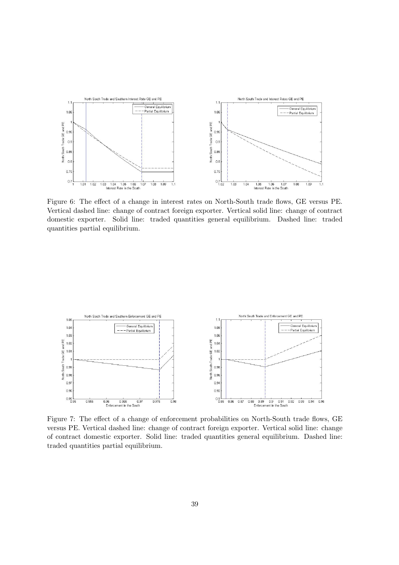

Figure 6: The effect of a change in interest rates on North-South trade flows, GE versus PE. Vertical dashed line: change of contract foreign exporter. Vertical solid line: change of contract domestic exporter. Solid line: traded quantities general equilibrium. Dashed line: traded quantities partial equilibrium.



Figure 7: The effect of a change of enforcement probabilities on North-South trade flows, GE versus PE. Vertical dashed line: change of contract foreign exporter. Vertical solid line: change of contract domestic exporter. Solid line: traded quantities general equilibrium. Dashed line: traded quantities partial equilibrium.